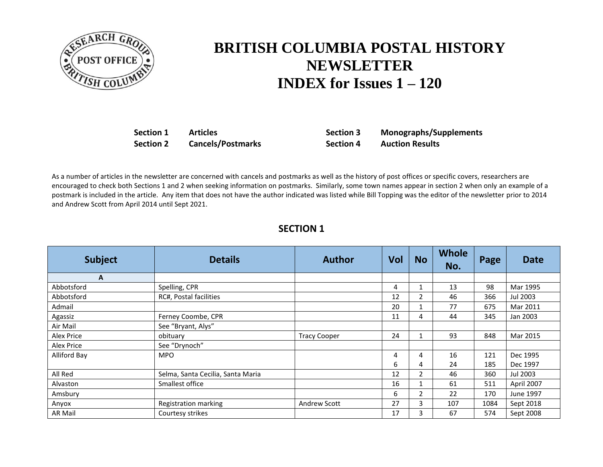

# **BRITISH COLUMBIA POSTAL HISTORY NEWSLETTER INDEX for Issues 1 – 120**

| Section 1        | <b>Articles</b>          | <b>Section 3</b> | <b>Monographs/Supplements</b> |
|------------------|--------------------------|------------------|-------------------------------|
| <b>Section 2</b> | <b>Cancels/Postmarks</b> | <b>Section 4</b> | <b>Auction Results</b>        |

As a number of articles in the newsletter are concerned with cancels and postmarks as well as the history of post offices or specific covers, researchers are encouraged to check both Sections 1 and 2 when seeking information on postmarks. Similarly, some town names appear in section 2 when only an example of a postmark is included in the article. Any item that does not have the author indicated was listed while Bill Topping was the editor of the newsletter prior to 2014 and Andrew Scott from April 2014 until Sept 2021.

| <b>Subject</b> | <b>Details</b>                    | <b>Author</b>       | Vol | <b>No</b>      | Whole<br>No. | Page | <b>Date</b> |
|----------------|-----------------------------------|---------------------|-----|----------------|--------------|------|-------------|
| A              |                                   |                     |     |                |              |      |             |
| Abbotsford     | Spelling, CPR                     |                     | 4   | $\mathbf{1}$   | 13           | 98   | Mar 1995    |
| Abbotsford     | RC#, Postal facilities            |                     | 12  | 2              | 46           | 366  | Jul 2003    |
| Admail         |                                   |                     | 20  | $\mathbf{1}$   | 77           | 675  | Mar 2011    |
| Agassiz        | Ferney Coombe, CPR                |                     | 11  | 4              | 44           | 345  | Jan 2003    |
| Air Mail       | See "Bryant, Alys"                |                     |     |                |              |      |             |
| Alex Price     | obituary                          | <b>Tracy Cooper</b> | 24  | 1              | 93           | 848  | Mar 2015    |
| Alex Price     | See "Drynoch"                     |                     |     |                |              |      |             |
| Alliford Bay   | <b>MPO</b>                        |                     | 4   | 4              | 16           | 121  | Dec 1995    |
|                |                                   |                     | 6   | 4              | 24           | 185  | Dec 1997    |
| All Red        | Selma, Santa Cecilia, Santa Maria |                     | 12  | 2              | 46           | 360  | Jul 2003    |
| Alvaston       | Smallest office                   |                     | 16  | 1              | 61           | 511  | April 2007  |
| Amsbury        |                                   |                     | 6   | $\overline{2}$ | 22           | 170  | June 1997   |
| Anyox          | Registration marking              | Andrew Scott        | 27  | 3              | 107          | 1084 | Sept 2018   |
| <b>AR Mail</b> | Courtesy strikes                  |                     | 17  | 3              | 67           | 574  | Sept 2008   |

## **SECTION 1**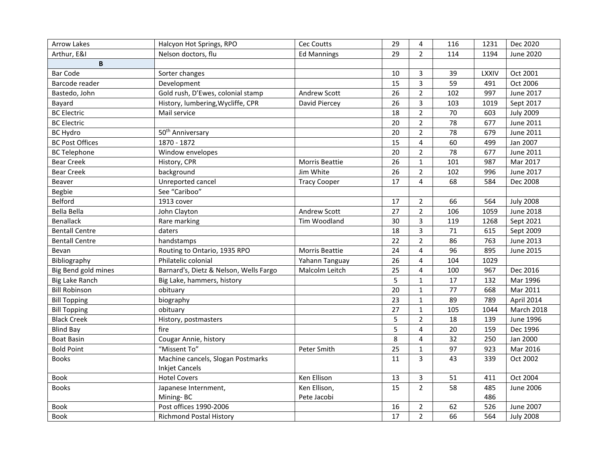| <b>Arrow Lakes</b>     | Halcyon Hot Springs, RPO               | Cec Coutts            | 29 | 4              | 116 | 1231  | Dec 2020         |
|------------------------|----------------------------------------|-----------------------|----|----------------|-----|-------|------------------|
| Arthur, E&I            | Nelson doctors, flu                    | <b>Ed Mannings</b>    | 29 | $\overline{2}$ | 114 | 1194  | June 2020        |
| B                      |                                        |                       |    |                |     |       |                  |
| <b>Bar Code</b>        | Sorter changes                         |                       | 10 | 3              | 39  | LXXIV | Oct 2001         |
| Barcode reader         | Development                            |                       | 15 | 3              | 59  | 491   | Oct 2006         |
| Bastedo, John          | Gold rush, D'Ewes, colonial stamp      | Andrew Scott          | 26 | $\overline{2}$ | 102 | 997   | June 2017        |
| Bayard                 | History, lumbering, Wycliffe, CPR      | David Piercey         | 26 | 3              | 103 | 1019  | Sept 2017        |
| <b>BC</b> Electric     | Mail service                           |                       | 18 | $\overline{2}$ | 70  | 603   | <b>July 2009</b> |
| <b>BC</b> Electric     |                                        |                       | 20 | $\overline{2}$ | 78  | 677   | June 2011        |
| <b>BC Hydro</b>        | 50 <sup>th</sup> Anniversary           |                       | 20 | $\overline{2}$ | 78  | 679   | <b>June 2011</b> |
| <b>BC Post Offices</b> | 1870 - 1872                            |                       | 15 | 4              | 60  | 499   | Jan 2007         |
| <b>BC Telephone</b>    | Window envelopes                       |                       | 20 | $\overline{2}$ | 78  | 677   | June 2011        |
| <b>Bear Creek</b>      | History, CPR                           | <b>Morris Beattie</b> | 26 | $\mathbf{1}$   | 101 | 987   | Mar 2017         |
| <b>Bear Creek</b>      | background                             | Jim White             | 26 | $\overline{2}$ | 102 | 996   | <b>June 2017</b> |
| Beaver                 | Unreported cancel                      | <b>Tracy Cooper</b>   | 17 | 4              | 68  | 584   | Dec 2008         |
| Begbie                 | See "Cariboo"                          |                       |    |                |     |       |                  |
| Belford                | 1913 cover                             |                       | 17 | $\overline{2}$ | 66  | 564   | <b>July 2008</b> |
| Bella Bella            | John Clayton                           | Andrew Scott          | 27 | $\overline{2}$ | 106 | 1059  | <b>June 2018</b> |
| Benallack              | Rare marking                           | Tim Woodland          | 30 | $\overline{3}$ | 119 | 1268  | Sept 2021        |
| <b>Bentall Centre</b>  | daters                                 |                       | 18 | $\overline{3}$ | 71  | 615   | Sept 2009        |
| <b>Bentall Centre</b>  | handstamps                             |                       | 22 | $\overline{2}$ | 86  | 763   | <b>June 2013</b> |
| Bevan                  | Routing to Ontario, 1935 RPO           | Morris Beattie        | 24 | 4              | 96  | 895   | <b>June 2015</b> |
| Bibliography           | Philatelic colonial                    | Yahann Tanguay        | 26 | 4              | 104 | 1029  |                  |
| Big Bend gold mines    | Barnard's, Dietz & Nelson, Wells Fargo | Malcolm Leitch        | 25 | 4              | 100 | 967   | Dec 2016         |
| <b>Big Lake Ranch</b>  | Big Lake, hammers, history             |                       | 5  | $\mathbf{1}$   | 17  | 132   | Mar 1996         |
| <b>Bill Robinson</b>   | obituary                               |                       | 20 | $\mathbf{1}$   | 77  | 668   | Mar 2011         |
| <b>Bill Topping</b>    | biography                              |                       | 23 | $\mathbf{1}$   | 89  | 789   | April 2014       |
| <b>Bill Topping</b>    | obituary                               |                       | 27 | $\mathbf{1}$   | 105 | 1044  | March 2018       |
| <b>Black Creek</b>     | History, postmasters                   |                       | 5  | $\overline{2}$ | 18  | 139   | <b>June 1996</b> |
| <b>Blind Bay</b>       | fire                                   |                       | 5  | 4              | 20  | 159   | Dec 1996         |
| <b>Boat Basin</b>      | Cougar Annie, history                  |                       | 8  | 4              | 32  | 250   | Jan 2000         |
| <b>Bold Point</b>      | "Missent To"                           | Peter Smith           | 25 | $\mathbf{1}$   | 97  | 923   | Mar 2016         |
| <b>Books</b>           | Machine cancels, Slogan Postmarks      |                       | 11 | 3              | 43  | 339   | Oct 2002         |
|                        | <b>Inkjet Cancels</b>                  |                       |    |                |     |       |                  |
| Book                   | <b>Hotel Covers</b>                    | Ken Ellison           | 13 | $\overline{3}$ | 51  | 411   | Oct 2004         |
| <b>Books</b>           | Japanese Internment,                   | Ken Ellison,          | 15 | $\overline{2}$ | 58  | 485   | <b>June 2006</b> |
|                        | Mining-BC                              | Pete Jacobi           |    |                |     | 486   |                  |
| Book                   | Post offices 1990-2006                 |                       | 16 | $\overline{2}$ | 62  | 526   | June 2007        |
| <b>Book</b>            | <b>Richmond Postal History</b>         |                       | 17 | $\overline{2}$ | 66  | 564   | <b>July 2008</b> |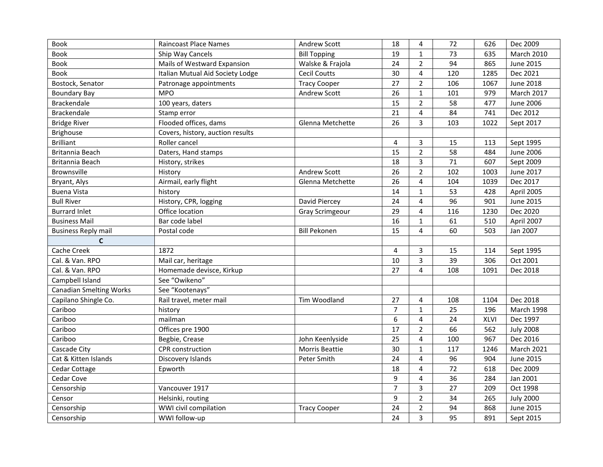| Book                           | <b>Raincoast Place Names</b>     | Andrew Scott           | 18             | 4              | 72  | 626         | Dec 2009          |
|--------------------------------|----------------------------------|------------------------|----------------|----------------|-----|-------------|-------------------|
| Book                           | Ship Way Cancels                 | <b>Bill Topping</b>    | 19             | $\mathbf{1}$   | 73  | 635         | <b>March 2010</b> |
| Book                           | Mails of Westward Expansion      | Walske & Frajola       | 24             | $\overline{2}$ | 94  | 865         | <b>June 2015</b>  |
| <b>Book</b>                    | Italian Mutual Aid Society Lodge | <b>Cecil Coutts</b>    | 30             | 4              | 120 | 1285        | Dec 2021          |
| Bostock, Senator               | Patronage appointments           | <b>Tracy Cooper</b>    | 27             | $\overline{2}$ | 106 | 1067        | <b>June 2018</b>  |
| <b>Boundary Bay</b>            | <b>MPO</b>                       | Andrew Scott           | 26             | $\mathbf{1}$   | 101 | 979         | March 2017        |
| Brackendale                    | 100 years, daters                |                        | 15             | $\overline{2}$ | 58  | 477         | June 2006         |
| <b>Brackendale</b>             | Stamp error                      |                        | 21             | 4              | 84  | 741         | Dec 2012          |
| <b>Bridge River</b>            | Flooded offices, dams            | Glenna Metchette       | 26             | 3              | 103 | 1022        | Sept 2017         |
| <b>Brighouse</b>               | Covers, history, auction results |                        |                |                |     |             |                   |
| <b>Brilliant</b>               | Roller cancel                    |                        | 4              | 3              | 15  | 113         | Sept 1995         |
| Britannia Beach                | Daters, Hand stamps              |                        | 15             | $\overline{2}$ | 58  | 484         | June 2006         |
| Britannia Beach                | History, strikes                 |                        | 18             | 3              | 71  | 607         | Sept 2009         |
| Brownsville                    | History                          | Andrew Scott           | 26             | $\overline{2}$ | 102 | 1003        | <b>June 2017</b>  |
| Bryant, Alys                   | Airmail, early flight            | Glenna Metchette       | 26             | 4              | 104 | 1039        | Dec 2017          |
| <b>Buena Vista</b>             | history                          |                        | 14             | $\mathbf{1}$   | 53  | 428         | April 2005        |
| <b>Bull River</b>              | History, CPR, logging            | David Piercey          | 24             | 4              | 96  | 901         | <b>June 2015</b>  |
| <b>Burrard Inlet</b>           | Office location                  | <b>Gray Scrimgeour</b> | 29             | 4              | 116 | 1230        | Dec 2020          |
| <b>Business Mail</b>           | Bar code label                   |                        | 16             | $\mathbf{1}$   | 61  | 510         | April 2007        |
| <b>Business Reply mail</b>     | Postal code                      | <b>Bill Pekonen</b>    | 15             | $\overline{4}$ | 60  | 503         | Jan 2007          |
| $\mathbf{C}$                   |                                  |                        |                |                |     |             |                   |
| Cache Creek                    | 1872                             |                        | 4              | 3              | 15  | 114         | Sept 1995         |
| Cal. & Van. RPO                | Mail car, heritage               |                        | 10             | 3              | 39  | 306         | Oct 2001          |
| Cal. & Van. RPO                | Homemade devisce, Kirkup         |                        | 27             | $\overline{4}$ | 108 | 1091        | Dec 2018          |
| Campbell Island                | See "Owikeno"                    |                        |                |                |     |             |                   |
| <b>Canadian Smelting Works</b> | See "Kootenays"                  |                        |                |                |     |             |                   |
| Capilano Shingle Co.           | Rail travel, meter mail          | Tim Woodland           | 27             | 4              | 108 | 1104        | Dec 2018          |
| Cariboo                        | history                          |                        | $\overline{7}$ | $\mathbf{1}$   | 25  | 196         | March 1998        |
| Cariboo                        | mailman                          |                        | 6              | 4              | 24  | <b>XLVI</b> | Dec 1997          |
| Cariboo                        | Offices pre 1900                 |                        | 17             | $\overline{2}$ | 66  | 562         | <b>July 2008</b>  |
| Cariboo                        | Begbie, Crease                   | John Keenlyside        | 25             | 4              | 100 | 967         | Dec 2016          |
| Cascade City                   | CPR construction                 | <b>Morris Beattie</b>  | 30             | $\mathbf{1}$   | 117 | 1246        | <b>March 2021</b> |
| Cat & Kitten Islands           | Discovery Islands                | Peter Smith            | 24             | $\overline{4}$ | 96  | 904         | <b>June 2015</b>  |
| Cedar Cottage                  | Epworth                          |                        | 18             | 4              | 72  | 618         | Dec 2009          |
| Cedar Cove                     |                                  |                        | 9              | 4              | 36  | 284         | Jan 2001          |
| Censorship                     | Vancouver 1917                   |                        | $\overline{7}$ | $\overline{3}$ | 27  | 209         | Oct 1998          |
| Censor                         | Helsinki, routing                |                        | 9              | $\overline{2}$ | 34  | 265         | <b>July 2000</b>  |
| Censorship                     | WWI civil compilation            | <b>Tracy Cooper</b>    | 24             | $\overline{2}$ | 94  | 868         | <b>June 2015</b>  |
| Censorship                     | WWI follow-up                    |                        | 24             | 3              | 95  | 891         | Sept 2015         |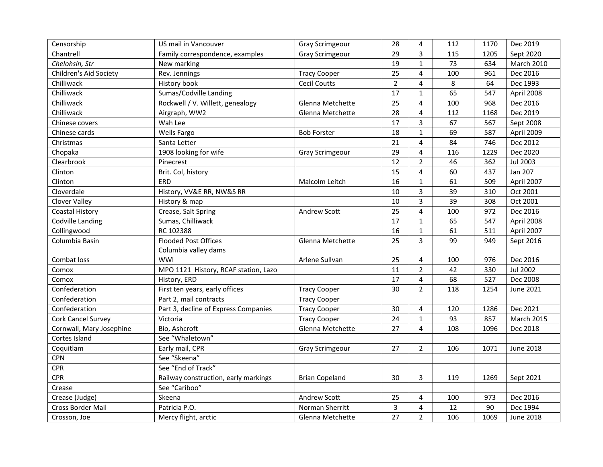| Censorship                | US mail in Vancouver                 | <b>Gray Scrimgeour</b> | 28             | 4              | 112 | 1170 | Dec 2019          |
|---------------------------|--------------------------------------|------------------------|----------------|----------------|-----|------|-------------------|
| Chantrell                 | Family correspondence, examples      | <b>Gray Scrimgeour</b> | 29             | 3              | 115 | 1205 | Sept 2020         |
| Chelohsin, Str            | New marking                          |                        | 19             | $\mathbf{1}$   | 73  | 634  | <b>March 2010</b> |
| Children's Aid Society    | Rev. Jennings                        | <b>Tracy Cooper</b>    | 25             | 4              | 100 | 961  | Dec 2016          |
| Chilliwack                | History book                         | <b>Cecil Coutts</b>    | $\overline{2}$ | 4              | 8   | 64   | Dec 1993          |
| Chilliwack                | Sumas/Codville Landing               |                        | 17             | $\mathbf{1}$   | 65  | 547  | April 2008        |
| Chilliwack                | Rockwell / V. Willett, genealogy     | Glenna Metchette       | 25             | 4              | 100 | 968  | Dec 2016          |
| Chilliwack                | Airgraph, WW2                        | Glenna Metchette       | 28             | 4              | 112 | 1168 | Dec 2019          |
| Chinese covers            | Wah Lee                              |                        | 17             | 3              | 67  | 567  | Sept 2008         |
| Chinese cards             | Wells Fargo                          | <b>Bob Forster</b>     | 18             | $\mathbf{1}$   | 69  | 587  | April 2009        |
| Christmas                 | Santa Letter                         |                        | 21             | 4              | 84  | 746  | Dec 2012          |
| Chopaka                   | 1908 looking for wife                | <b>Gray Scrimgeour</b> | 29             | 4              | 116 | 1229 | Dec 2020          |
| Clearbrook                | Pinecrest                            |                        | 12             | $\overline{2}$ | 46  | 362  | <b>Jul 2003</b>   |
| Clinton                   | Brit. Col, history                   |                        | 15             | 4              | 60  | 437  | Jan 207           |
| Clinton                   | ERD                                  | Malcolm Leitch         | 16             | $\mathbf{1}$   | 61  | 509  | April 2007        |
| Cloverdale                | History, VV&E RR, NW&S RR            |                        | 10             | $\overline{3}$ | 39  | 310  | Oct 2001          |
| Clover Valley             | History & map                        |                        | 10             | 3              | 39  | 308  | Oct 2001          |
| <b>Coastal History</b>    | Crease, Salt Spring                  | Andrew Scott           | 25             | 4              | 100 | 972  | Dec 2016          |
| Codville Landing          | Sumas, Chilliwack                    |                        | 17             | $\mathbf{1}$   | 65  | 547  | April 2008        |
| Collingwood               | RC 102388                            |                        | 16             | $\mathbf{1}$   | 61  | 511  | April 2007        |
| Columbia Basin            | <b>Flooded Post Offices</b>          | Glenna Metchette       | 25             | 3              | 99  | 949  | Sept 2016         |
|                           | Columbia valley dams                 |                        |                |                |     |      |                   |
| Combat loss               | WWI                                  | Arlene Sullvan         | 25             | 4              | 100 | 976  | Dec 2016          |
| Comox                     | MPO 1121 History, RCAF station, Lazo |                        | 11             | $\overline{2}$ | 42  | 330  | <b>Jul 2002</b>   |
| Comox                     | History, ERD                         |                        | 17             | 4              | 68  | 527  | Dec 2008          |
| Confederation             | First ten years, early offices       | <b>Tracy Cooper</b>    | 30             | $\overline{2}$ | 118 | 1254 | <b>June 2021</b>  |
| Confederation             | Part 2, mail contracts               | <b>Tracy Cooper</b>    |                |                |     |      |                   |
| Confederation             | Part 3, decline of Express Companies | <b>Tracy Cooper</b>    | 30             | 4              | 120 | 1286 | Dec 2021          |
| <b>Cork Cancel Survey</b> | Victoria                             | <b>Tracy Cooper</b>    | 24             | $\mathbf{1}$   | 93  | 857  | <b>March 2015</b> |
| Cornwall, Mary Josephine  | Bio, Ashcroft                        | Glenna Metchette       | 27             | 4              | 108 | 1096 | Dec 2018          |
| Cortes Island             | See "Whaletown"                      |                        |                |                |     |      |                   |
| Coquitlam                 | Early mail, CPR                      | <b>Gray Scrimgeour</b> | 27             | $\overline{2}$ | 106 | 1071 | <b>June 2018</b>  |
| <b>CPN</b>                | See "Skeena"                         |                        |                |                |     |      |                   |
| <b>CPR</b>                | See "End of Track"                   |                        |                |                |     |      |                   |
| <b>CPR</b>                | Railway construction, early markings | <b>Brian Copeland</b>  | 30             | 3              | 119 | 1269 | Sept 2021         |
| Crease                    | See "Cariboo"                        |                        |                |                |     |      |                   |
| Crease (Judge)            | Skeena                               | Andrew Scott           | 25             | 4              | 100 | 973  | Dec 2016          |
| Cross Border Mail         | Patricia P.O.                        | Norman Sherritt        | 3              | 4              | 12  | 90   | Dec 1994          |
| Crosson, Joe              | Mercy flight, arctic                 | Glenna Metchette       | 27             | $\overline{2}$ | 106 | 1069 | <b>June 2018</b>  |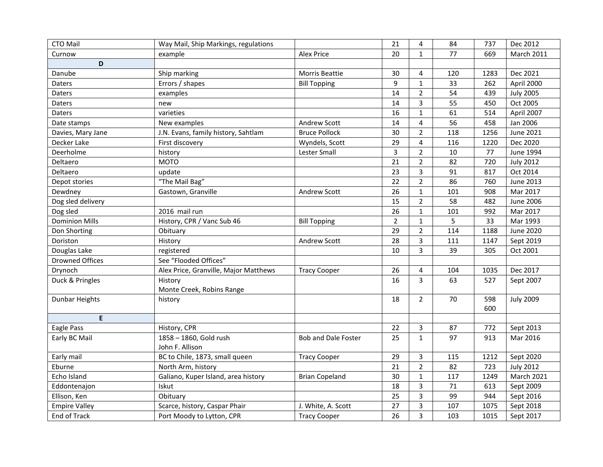| CTO Mail               | Way Mail, Ship Markings, regulations  |                       | 21             | 4              | 84              | 737  | Dec 2012          |
|------------------------|---------------------------------------|-----------------------|----------------|----------------|-----------------|------|-------------------|
| Curnow                 | example                               | <b>Alex Price</b>     | 20             | $\mathbf{1}$   | $\overline{77}$ | 669  | March 2011        |
| D                      |                                       |                       |                |                |                 |      |                   |
| Danube                 | Ship marking                          | <b>Morris Beattie</b> | 30             | 4              | 120             | 1283 | Dec 2021          |
| Daters                 | Errors / shapes                       | <b>Bill Topping</b>   | 9              | $\mathbf{1}$   | 33              | 262  | April 2000        |
| Daters                 | examples                              |                       | 14             | $\overline{2}$ | 54              | 439  | <b>July 2005</b>  |
| <b>Daters</b>          | new                                   |                       | 14             | 3              | 55              | 450  | Oct 2005          |
| Daters                 | varieties                             |                       | 16             | $\mathbf{1}$   | 61              | 514  | April 2007        |
| Date stamps            | New examples                          | Andrew Scott          | 14             | 4              | 56              | 458  | Jan 2006          |
| Davies, Mary Jane      | J.N. Evans, family history, Sahtlam   | <b>Bruce Pollock</b>  | 30             | $\overline{2}$ | 118             | 1256 | <b>June 2021</b>  |
| Decker Lake            | First discovery                       | Wyndels, Scott        | 29             | 4              | 116             | 1220 | Dec 2020          |
| Deerholme              | history                               | Lester Small          | $\overline{3}$ | $\overline{2}$ | 10              | 77   | <b>June 1994</b>  |
| Deltaero               | <b>MOTO</b>                           |                       | 21             | $\overline{2}$ | 82              | 720  | <b>July 2012</b>  |
| Deltaero               | update                                |                       | 23             | 3              | 91              | 817  | Oct 2014          |
| Depot stories          | "The Mail Bag"                        |                       | 22             | $\overline{2}$ | 86              | 760  | <b>June 2013</b>  |
| Dewdney                | Gastown, Granville                    | Andrew Scott          | 26             | $\mathbf{1}$   | 101             | 908  | Mar 2017          |
| Dog sled delivery      |                                       |                       | 15             | $\overline{2}$ | 58              | 482  | <b>June 2006</b>  |
| Dog sled               | 2016 mail run                         |                       | 26             | $\mathbf{1}$   | 101             | 992  | Mar 2017          |
| Dominion Mills         | History, CPR / Vanc Sub 46            | <b>Bill Topping</b>   | $\overline{2}$ | $\mathbf{1}$   | 5               | 33   | Mar 1993          |
| Don Shorting           | Obituary                              |                       | 29             | $\overline{2}$ | 114             | 1188 | <b>June 2020</b>  |
| Doriston               | History                               | <b>Andrew Scott</b>   | 28             | 3              | 111             | 1147 | Sept 2019         |
| Douglas Lake           | registered                            |                       | 10             | 3              | 39              | 305  | Oct 2001          |
| <b>Drowned Offices</b> | See "Flooded Offices"                 |                       |                |                |                 |      |                   |
| Drynoch                | Alex Price, Granville, Major Matthews | <b>Tracy Cooper</b>   | 26             | 4              | 104             | 1035 | Dec 2017          |
| Duck & Pringles        | History                               |                       | 16             | 3              | 63              | 527  | Sept 2007         |
|                        | Monte Creek, Robins Range             |                       |                |                |                 |      |                   |
| Dunbar Heights         | history                               |                       | 18             | $\overline{2}$ | 70              | 598  | <b>July 2009</b>  |
|                        |                                       |                       |                |                |                 | 600  |                   |
| E                      |                                       |                       |                |                |                 |      |                   |
| Eagle Pass             | History, CPR                          |                       | 22             | 3              | 87              | 772  | Sept 2013         |
| Early BC Mail          | 1858 - 1860, Gold rush                | Bob and Dale Foster   | 25             | $\mathbf{1}$   | 97              | 913  | Mar 2016          |
|                        | John F. Allison                       |                       |                |                |                 |      |                   |
| Early mail             | BC to Chile, 1873, small queen        | <b>Tracy Cooper</b>   | 29             | 3              | 115             | 1212 | Sept 2020         |
| Eburne                 | North Arm, history                    |                       | 21             | $\overline{2}$ | 82              | 723  | <b>July 2012</b>  |
| Echo Island            | Galiano, Kuper Island, area history   | <b>Brian Copeland</b> | 30             | $\mathbf{1}$   | 117             | 1249 | <b>March 2021</b> |
| Eddontenajon           | Iskut                                 |                       | 18             | 3              | 71              | 613  | Sept 2009         |
| Ellison, Ken           | Obituary                              |                       | 25             | 3              | 99              | 944  | Sept 2016         |
| <b>Empire Valley</b>   | Scarce, history, Caspar Phair         | J. White, A. Scott    | 27             | 3              | 107             | 1075 | Sept 2018         |
| End of Track           | Port Moody to Lytton, CPR             | <b>Tracy Cooper</b>   | 26             | 3              | 103             | 1015 | Sept 2017         |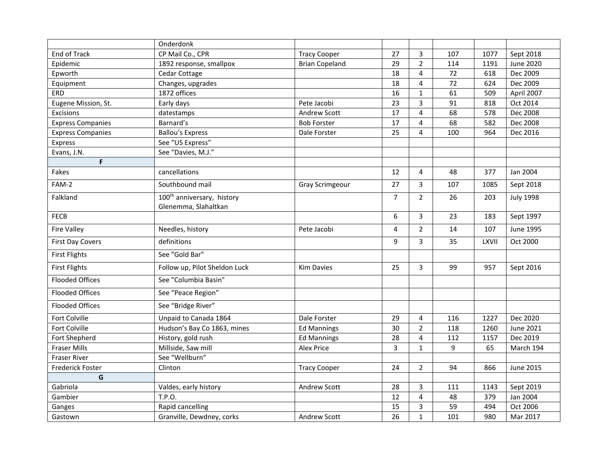|                          | Onderdonk                                                      |                        |                |                         |     |              |                  |
|--------------------------|----------------------------------------------------------------|------------------------|----------------|-------------------------|-----|--------------|------------------|
| End of Track             | CP Mail Co., CPR                                               | <b>Tracy Cooper</b>    | 27             | 3                       | 107 | 1077         | Sept 2018        |
| Epidemic                 | 1892 response, smallpox                                        | <b>Brian Copeland</b>  | 29             | $\overline{2}$          | 114 | 1191         | <b>June 2020</b> |
| Epworth                  | Cedar Cottage                                                  |                        | 18             | 4                       | 72  | 618          | Dec 2009         |
| Equipment                | Changes, upgrades                                              |                        | 18             | 4                       | 72  | 624          | Dec 2009         |
| <b>ERD</b>               | 1872 offices                                                   |                        | 16             | $\mathbf{1}$            | 61  | 509          | April 2007       |
| Eugene Mission, St.      | Early days                                                     | Pete Jacobi            | 23             | 3                       | 91  | 818          | Oct 2014         |
| Excisions                | datestamps                                                     | Andrew Scott           | 17             | $\overline{\mathbf{4}}$ | 68  | 578          | Dec 2008         |
| <b>Express Companies</b> | Barnard's                                                      | <b>Bob Forster</b>     | 17             | $\overline{4}$          | 68  | 582          | Dec 2008         |
| <b>Express Companies</b> | <b>Ballou's Express</b>                                        | Dale Forster           | 25             | 4                       | 100 | 964          | Dec 2016         |
| Express                  | See "US Express"                                               |                        |                |                         |     |              |                  |
| Evans, J.N.              | See "Davies, M.J."                                             |                        |                |                         |     |              |                  |
| F                        |                                                                |                        |                |                         |     |              |                  |
| Fakes                    | cancellations                                                  |                        | 12             | 4                       | 48  | 377          | Jan 2004         |
| FAM-2                    | Southbound mail                                                | <b>Gray Scrimgeour</b> | 27             | $\overline{3}$          | 107 | 1085         | Sept 2018        |
| Falkland                 | 100 <sup>th</sup> anniversary, history<br>Glenemma, Slahaltkan |                        | $\overline{7}$ | $\overline{2}$          | 26  | 203          | <b>July 1998</b> |
| <b>FECB</b>              |                                                                |                        | 6              | 3                       | 23  | 183          | Sept 1997        |
| <b>Fire Valley</b>       | Needles, history                                               | Pete Jacobi            | 4              | $\overline{2}$          | 14  | 107          | <b>June 1995</b> |
| <b>First Day Covers</b>  | definitions                                                    |                        | $\mathbf{q}$   | $\overline{3}$          | 35  | <b>LXVII</b> | Oct 2000         |
| <b>First Flights</b>     | See "Gold Bar"                                                 |                        |                |                         |     |              |                  |
| <b>First Flights</b>     | Follow up, Pilot Sheldon Luck                                  | <b>Kim Davies</b>      | 25             | $\overline{3}$          | 99  | 957          | Sept 2016        |
| <b>Flooded Offices</b>   | See "Columbia Basin"                                           |                        |                |                         |     |              |                  |
| <b>Flooded Offices</b>   | See "Peace Region"                                             |                        |                |                         |     |              |                  |
| <b>Flooded Offices</b>   | See "Bridge River"                                             |                        |                |                         |     |              |                  |
| Fort Colville            | Unpaid to Canada 1864                                          | Dale Forster           | 29             | 4                       | 116 | 1227         | Dec 2020         |
| Fort Colville            | Hudson's Bay Co 1863, mines                                    | <b>Ed Mannings</b>     | 30             | $\overline{2}$          | 118 | 1260         | <b>June 2021</b> |
| Fort Shepherd            | History, gold rush                                             | <b>Ed Mannings</b>     | 28             | 4                       | 112 | 1157         | Dec 2019         |
| <b>Fraser Mills</b>      | Millside, Saw mill                                             | <b>Alex Price</b>      | 3              | $\mathbf{1}$            | 9   | 65           | March 194        |
| <b>Fraser River</b>      | See "Wellburn"                                                 |                        |                |                         |     |              |                  |
| <b>Frederick Foster</b>  | Clinton                                                        | <b>Tracy Cooper</b>    | 24             | $\overline{2}$          | 94  | 866          | June 2015        |
| G                        |                                                                |                        |                |                         |     |              |                  |
| Gabriola                 | Valdes, early history                                          | Andrew Scott           | 28             | 3                       | 111 | 1143         | Sept 2019        |
| Gambier                  | T.P.O.                                                         |                        | 12             | $\overline{4}$          | 48  | 379          | Jan 2004         |
| Ganges                   | Rapid cancelling                                               |                        | 15             | 3                       | 59  | 494          | Oct 2006         |
| Gastown                  | Granville, Dewdney, corks                                      | <b>Andrew Scott</b>    | 26             | $\mathbf{1}$            | 101 | 980          | Mar 2017         |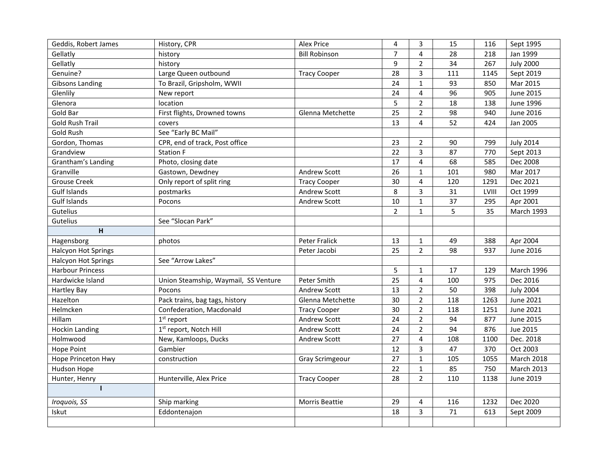| Geddis, Robert James       | History, CPR                         | <b>Alex Price</b>      | 4              | 3              | 15  | 116   | Sept 1995         |
|----------------------------|--------------------------------------|------------------------|----------------|----------------|-----|-------|-------------------|
| Gellatly                   | history                              | <b>Bill Robinson</b>   | $\overline{7}$ | $\overline{4}$ | 28  | 218   | Jan 1999          |
| Gellatly                   | history                              |                        | 9              | $\overline{2}$ | 34  | 267   | <b>July 2000</b>  |
| Genuine?                   | Large Queen outbound                 | <b>Tracy Cooper</b>    | 28             | $\overline{3}$ | 111 | 1145  | Sept 2019         |
| <b>Gibsons Landing</b>     | To Brazil, Gripsholm, WWII           |                        | 24             | $\mathbf{1}$   | 93  | 850   | Mar 2015          |
| Glenlily                   | New report                           |                        | 24             | $\overline{4}$ | 96  | 905   | <b>June 2015</b>  |
| Glenora                    | location                             |                        | 5              | $\overline{2}$ | 18  | 138   | <b>June 1996</b>  |
| Gold Bar                   | First flights, Drowned towns         | Glenna Metchette       | 25             | $\overline{2}$ | 98  | 940   | June 2016         |
| <b>Gold Rush Trail</b>     | covers                               |                        | 13             | 4              | 52  | 424   | Jan 2005          |
| Gold Rush                  | See "Early BC Mail"                  |                        |                |                |     |       |                   |
| Gordon, Thomas             | CPR, end of track, Post office       |                        | 23             | $\overline{2}$ | 90  | 799   | <b>July 2014</b>  |
| Grandview                  | <b>Station F</b>                     |                        | 22             | $\overline{3}$ | 87  | 770   | Sept 2013         |
| Grantham's Landing         | Photo, closing date                  |                        | 17             | $\overline{4}$ | 68  | 585   | Dec 2008          |
| Granville                  | Gastown, Dewdney                     | Andrew Scott           | 26             | $\mathbf{1}$   | 101 | 980   | Mar 2017          |
| <b>Grouse Creek</b>        | Only report of split ring            | <b>Tracy Cooper</b>    | 30             | $\overline{4}$ | 120 | 1291  | Dec 2021          |
| <b>Gulf Islands</b>        | postmarks                            | Andrew Scott           | 8              | $\overline{3}$ | 31  | LVIII | Oct 1999          |
| <b>Gulf Islands</b>        | Pocons                               | Andrew Scott           | $10\,$         | $\mathbf{1}$   | 37  | 295   | Apr 2001          |
| Gutelius                   |                                      |                        | $\overline{2}$ | $\mathbf{1}$   | 5   | 35    | March 1993        |
| Gutelius                   | See "Slocan Park"                    |                        |                |                |     |       |                   |
| H                          |                                      |                        |                |                |     |       |                   |
| Hagensborg                 | photos                               | Peter Fralick          | 13             | $\mathbf{1}$   | 49  | 388   | Apr 2004          |
| Halcyon Hot Springs        |                                      | Peter Jacobi           | 25             | $\overline{2}$ | 98  | 937   | <b>June 2016</b>  |
| <b>Halcyon Hot Springs</b> | See "Arrow Lakes"                    |                        |                |                |     |       |                   |
| <b>Harbour Princess</b>    |                                      |                        | 5              | $\mathbf{1}$   | 17  | 129   | <b>March 1996</b> |
| Hardwicke Island           | Union Steamship, Waymail, SS Venture | Peter Smith            | 25             | 4              | 100 | 975   | Dec 2016          |
| <b>Hartley Bay</b>         | Pocons                               | <b>Andrew Scott</b>    | 13             | $\overline{2}$ | 50  | 398   | <b>July 2004</b>  |
| Hazelton                   | Pack trains, bag tags, history       | Glenna Metchette       | 30             | $\overline{2}$ | 118 | 1263  | <b>June 2021</b>  |
| Helmcken                   | Confederation, Macdonald             | <b>Tracy Cooper</b>    | 30             | $\overline{2}$ | 118 | 1251  | <b>June 2021</b>  |
| Hillam                     | $1st$ report                         | Andrew Scott           | 24             | $\overline{2}$ | 94  | 877   | <b>June 2015</b>  |
| <b>Hockin Landing</b>      | 1 <sup>st</sup> report, Notch Hill   | Andrew Scott           | 24             | $\overline{2}$ | 94  | 876   | Jue 2015          |
| Holmwood                   | New, Kamloops, Ducks                 | Andrew Scott           | 27             | 4              | 108 | 1100  | Dec. 2018         |
| Hope Point                 | Gambier                              |                        | 12             | $\overline{3}$ | 47  | 370   | Oct 2003          |
| Hope Princeton Hwy         | construction                         | <b>Gray Scrimgeour</b> | 27             | $\mathbf{1}$   | 105 | 1055  | March 2018        |
| Hudson Hope                |                                      |                        | 22             | $\mathbf{1}$   | 85  | 750   | March 2013        |
| Hunter, Henry              | Hunterville, Alex Price              | <b>Tracy Cooper</b>    | 28             | $\overline{2}$ | 110 | 1138  | June 2019         |
| $\mathbf{I}$               |                                      |                        |                |                |     |       |                   |
| Iroquois, SS               | Ship marking                         | <b>Morris Beattie</b>  | 29             | 4              | 116 | 1232  | Dec 2020          |
| Iskut                      | Eddontenajon                         |                        | 18             | 3              | 71  | 613   | Sept 2009         |
|                            |                                      |                        |                |                |     |       |                   |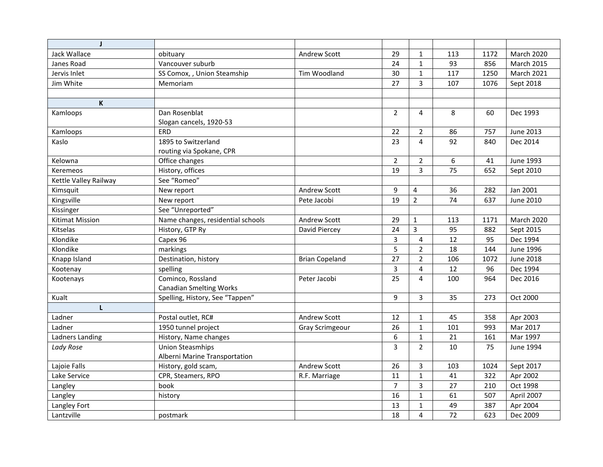| J.                     |                                   |                       |                  |                |                 |      |                   |
|------------------------|-----------------------------------|-----------------------|------------------|----------------|-----------------|------|-------------------|
| Jack Wallace           | obituary                          | Andrew Scott          | 29               | $\mathbf{1}$   | 113             | 1172 | March 2020        |
| Janes Road             | Vancouver suburb                  |                       | 24               | $\mathbf{1}$   | 93              | 856  | March 2015        |
| Jervis Inlet           | SS Comox, , Union Steamship       | Tim Woodland          | 30               | $\mathbf{1}$   | 117             | 1250 | <b>March 2021</b> |
| Jim White              | Memoriam                          |                       | 27               | 3              | 107             | 1076 | Sept 2018         |
|                        |                                   |                       |                  |                |                 |      |                   |
| K                      |                                   |                       |                  |                |                 |      |                   |
| Kamloops               | Dan Rosenblat                     |                       | $\overline{2}$   | 4              | 8               | 60   | Dec 1993          |
|                        | Slogan cancels, 1920-53           |                       |                  |                |                 |      |                   |
| Kamloops               | ERD                               |                       | 22               | $\overline{2}$ | 86              | 757  | <b>June 2013</b>  |
| Kaslo                  | 1895 to Switzerland               |                       | 23               | 4              | 92              | 840  | Dec 2014          |
|                        | routing via Spokane, CPR          |                       |                  |                |                 |      |                   |
| Kelowna                | Office changes                    |                       | $\overline{2}$   | $\overline{2}$ | 6               | 41   | <b>June 1993</b>  |
| Keremeos               | History, offices                  |                       | 19               | 3              | 75              | 652  | Sept 2010         |
| Kettle Valley Railway  | See "Romeo"                       |                       |                  |                |                 |      |                   |
| Kimsquit               | New report                        | <b>Andrew Scott</b>   | 9                | 4              | 36              | 282  | Jan 2001          |
| Kingsville             | New report                        | Pete Jacobi           | 19               | $\overline{2}$ | 74              | 637  | June 2010         |
| Kissinger              | See "Unreported"                  |                       |                  |                |                 |      |                   |
| <b>Kitimat Mission</b> | Name changes, residential schools | Andrew Scott          | 29               | 1              | 113             | 1171 | March 2020        |
| Kitselas               | History, GTP Ry                   | David Piercey         | 24               | 3              | 95              | 882  | Sept 2015         |
| Klondike               | Capex 96                          |                       | $\overline{3}$   | 4              | 12              | 95   | Dec 1994          |
| Klondike               | markings                          |                       | 5                | $\overline{2}$ | 18              | 144  | <b>June 1996</b>  |
| Knapp Island           | Destination, history              | <b>Brian Copeland</b> | 27               | $\overline{2}$ | 106             | 1072 | <b>June 2018</b>  |
| Kootenay               | spelling                          |                       | 3                | 4              | 12              | 96   | Dec 1994          |
| Kootenays              | Cominco, Rossland                 | Peter Jacobi          | 25               | 4              | 100             | 964  | Dec 2016          |
|                        | <b>Canadian Smelting Works</b>    |                       |                  |                |                 |      |                   |
| Kualt                  | Spelling, History, See "Tappen"   |                       | 9                | 3              | 35              | 273  | Oct 2000          |
| L                      |                                   |                       |                  |                |                 |      |                   |
| Ladner                 | Postal outlet, RC#                | Andrew Scott          | 12               | $\mathbf{1}$   | 45              | 358  | Apr 2003          |
| Ladner                 | 1950 tunnel project               | Gray Scrimgeour       | 26               | $\mathbf{1}$   | 101             | 993  | Mar 2017          |
| Ladners Landing        | History, Name changes             |                       | $\boldsymbol{6}$ | $\mathbf{1}$   | 21              | 161  | Mar 1997          |
| Lady Rose              | <b>Union Steasmhips</b>           |                       | 3                | $\overline{2}$ | 10              | 75   | <b>June 1994</b>  |
|                        | Alberni Marine Transportation     |                       |                  |                |                 |      |                   |
| Lajoie Falls           | History, gold scam,               | <b>Andrew Scott</b>   | 26               | 3              | 103             | 1024 | Sept 2017         |
| Lake Service           | CPR, Steamers, RPO                | R.F. Marriage         | 11               | $\mathbf{1}$   | 41              | 322  | Apr 2002          |
| Langley                | book                              |                       | $\overline{7}$   | $\overline{3}$ | 27              | 210  | Oct 1998          |
| Langley                | history                           |                       | 16               | $\mathbf{1}$   | 61              | 507  | April 2007        |
| Langley Fort           |                                   |                       | 13               | $\mathbf{1}$   | 49              | 387  | Apr 2004          |
| Lantzville             | postmark                          |                       | 18               | $\overline{4}$ | $\overline{72}$ | 623  | Dec 2009          |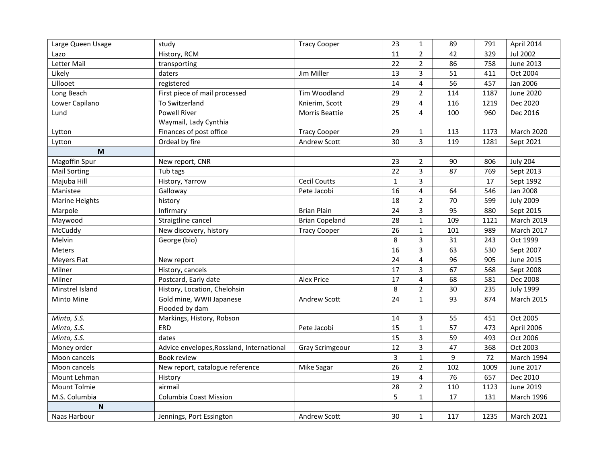| Large Queen Usage   | study                                     | <b>Tracy Cooper</b>    | 23           | $\mathbf{1}$   | 89  | 791  | April 2014        |
|---------------------|-------------------------------------------|------------------------|--------------|----------------|-----|------|-------------------|
| Lazo                | History, RCM                              |                        | 11           | $\overline{2}$ | 42  | 329  | <b>Jul 2002</b>   |
| Letter Mail         | transporting                              |                        | 22           | $\overline{2}$ | 86  | 758  | June 2013         |
| Likely              | daters                                    | Jim Miller             | 13           | 3              | 51  | 411  | Oct 2004          |
| Lillooet            | registered                                |                        | 14           | 4              | 56  | 457  | Jan 2006          |
| Long Beach          | First piece of mail processed             | Tim Woodland           | 29           | $\overline{2}$ | 114 | 1187 | <b>June 2020</b>  |
| Lower Capilano      | <b>To Switzerland</b>                     | Knierim, Scott         | 29           | 4              | 116 | 1219 | Dec 2020          |
| Lund                | <b>Powell River</b>                       | <b>Morris Beattie</b>  | 25           | 4              | 100 | 960  | Dec 2016          |
|                     | Waymail, Lady Cynthia                     |                        |              |                |     |      |                   |
| Lytton              | Finances of post office                   | <b>Tracy Cooper</b>    | 29           | 1              | 113 | 1173 | <b>March 2020</b> |
| Lytton              | Ordeal by fire                            | Andrew Scott           | 30           | $\overline{3}$ | 119 | 1281 | Sept 2021         |
| M                   |                                           |                        |              |                |     |      |                   |
| Magoffin Spur       | New report, CNR                           |                        | 23           | $\overline{2}$ | 90  | 806  | <b>July 204</b>   |
| <b>Mail Sorting</b> | Tub tags                                  |                        | 22           | 3              | 87  | 769  | Sept 2013         |
| Majuba Hill         | History, Yarrow                           | <b>Cecil Coutts</b>    | $\mathbf{1}$ | 3              |     | 17   | Sept 1992         |
| Manistee            | Galloway                                  | Pete Jacobi            | 16           | 4              | 64  | 546  | Jan 2008          |
| Marine Heights      | history                                   |                        | 18           | $\overline{2}$ | 70  | 599  | <b>July 2009</b>  |
| Marpole             | Infirmary                                 | <b>Brian Plain</b>     | 24           | 3              | 95  | 880  | Sept 2015         |
| Maywood             | Straigtline cancel                        | <b>Brian Copeland</b>  | 28           | $\mathbf{1}$   | 109 | 1121 | March 2019        |
| McCuddy             | New discovery, history                    | <b>Tracy Cooper</b>    | 26           | $\mathbf{1}$   | 101 | 989  | March 2017        |
| Melvin              | George (bio)                              |                        | 8            | 3              | 31  | 243  | Oct 1999          |
| Meters              |                                           |                        | 16           | 3              | 63  | 530  | Sept 2007         |
| Meyers Flat         | New report                                |                        | 24           | 4              | 96  | 905  | <b>June 2015</b>  |
| Milner              | History, cancels                          |                        | 17           | 3              | 67  | 568  | Sept 2008         |
| Milner              | Postcard, Early date                      | <b>Alex Price</b>      | 17           | 4              | 68  | 581  | Dec 2008          |
| Minstrel Island     | History, Location, Chelohsin              |                        | 8            | $\overline{2}$ | 30  | 235  | <b>July 1999</b>  |
| Minto Mine          | Gold mine, WWII Japanese                  | Andrew Scott           | 24           | $\mathbf{1}$   | 93  | 874  | <b>March 2015</b> |
|                     | Flooded by dam                            |                        |              |                |     |      |                   |
| Minto, S.S.         | Markings, History, Robson                 |                        | 14           | $\overline{3}$ | 55  | 451  | Oct 2005          |
| Minto, S.S.         | ERD                                       | Pete Jacobi            | 15           | $\mathbf{1}$   | 57  | 473  | April 2006        |
| Minto, S.S.         | dates                                     |                        | 15           | $\overline{3}$ | 59  | 493  | Oct 2006          |
| Money order         | Advice envelopes, Rossland, International | <b>Gray Scrimgeour</b> | 12           | 3              | 47  | 368  | Oct 2003          |
| Moon cancels        | <b>Book review</b>                        |                        | 3            | $\mathbf{1}$   | 9   | 72   | March 1994        |
| Moon cancels        | New report, catalogue reference           | Mike Sagar             | 26           | $\overline{2}$ | 102 | 1009 | June 2017         |
| Mount Lehman        | History                                   |                        | 19           | 4              | 76  | 657  | Dec 2010          |
| Mount Tolmie        | airmail                                   |                        | 28           | $\overline{2}$ | 110 | 1123 | June 2019         |
| M.S. Columbia       | <b>Columbia Coast Mission</b>             |                        | 5            | $\mathbf{1}$   | 17  | 131  | March 1996        |
| $\mathsf N$         |                                           |                        |              |                |     |      |                   |
| Naas Harbour        | Jennings, Port Essington                  | Andrew Scott           | 30           | $\mathbf{1}$   | 117 | 1235 | <b>March 2021</b> |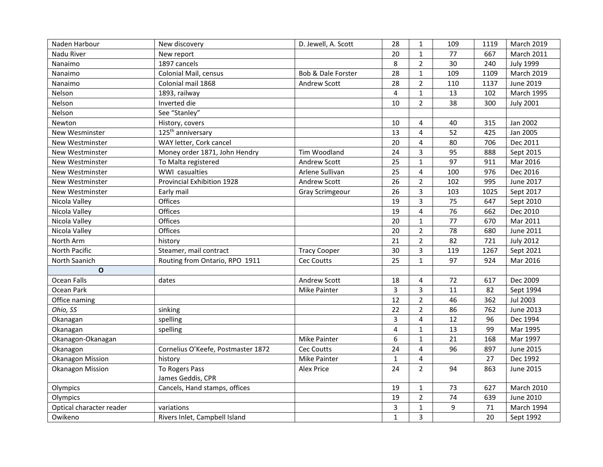| Naden Harbour            | New discovery                      | D. Jewell, A. Scott           | 28             | $\mathbf{1}$            | 109 | 1119 | March 2019        |
|--------------------------|------------------------------------|-------------------------------|----------------|-------------------------|-----|------|-------------------|
| Nadu River               | New report                         |                               | 20             | $\mathbf{1}$            | 77  | 667  | <b>March 2011</b> |
| Nanaimo                  | 1897 cancels                       |                               | 8              | $\overline{2}$          | 30  | 240  | <b>July 1999</b>  |
| Nanaimo                  | Colonial Mail, census              | <b>Bob &amp; Dale Forster</b> | 28             | $\mathbf{1}$            | 109 | 1109 | March 2019        |
| Nanaimo                  | Colonial mail 1868                 | Andrew Scott                  | 28             | $\overline{2}$          | 110 | 1137 | June 2019         |
| Nelson                   | 1893, railway                      |                               | 4              | $\mathbf{1}$            | 13  | 102  | <b>March 1995</b> |
| Nelson                   | Inverted die                       |                               | 10             | $\overline{2}$          | 38  | 300  | <b>July 2001</b>  |
| Nelson                   | See "Stanley"                      |                               |                |                         |     |      |                   |
| Newton                   | History, covers                    |                               | 10             | 4                       | 40  | 315  | Jan 2002          |
| <b>New Wesminster</b>    | 125 <sup>th</sup> anniversary      |                               | 13             | 4                       | 52  | 425  | Jan 2005          |
| New Westminster          | WAY letter, Cork cancel            |                               | 20             | 4                       | 80  | 706  | Dec 2011          |
| New Westminster          | Money order 1871, John Hendry      | Tim Woodland                  | 24             | $\overline{3}$          | 95  | 888  | Sept 2015         |
| New Westminster          | To Malta registered                | <b>Andrew Scott</b>           | 25             | $\mathbf{1}$            | 97  | 911  | Mar 2016          |
| New Westminster          | WWI casualties                     | Arlene Sullivan               | 25             | $\overline{\mathbf{4}}$ | 100 | 976  | Dec 2016          |
| New Westminster          | Provincial Exhibition 1928         | Andrew Scott                  | 26             | $\overline{2}$          | 102 | 995  | June 2017         |
| New Westminster          | Early mail                         | <b>Gray Scrimgeour</b>        | 26             | 3                       | 103 | 1025 | Sept 2017         |
| Nicola Valley            | Offices                            |                               | 19             | 3                       | 75  | 647  | Sept 2010         |
| Nicola Valley            | Offices                            |                               | 19             | 4                       | 76  | 662  | Dec 2010          |
| Nicola Valley            | Offices                            |                               | 20             | $\mathbf{1}$            | 77  | 670  | Mar 2011          |
| Nicola Valley            | Offices                            |                               | 20             | $\overline{2}$          | 78  | 680  | <b>June 2011</b>  |
| North Arm                | history                            |                               | 21             | $\overline{2}$          | 82  | 721  | <b>July 2012</b>  |
| North Pacific            | Steamer, mail contract             | <b>Tracy Cooper</b>           | 30             | $\overline{3}$          | 119 | 1267 | Sept 2021         |
| North Saanich            | Routing from Ontario, RPO 1911     | Cec Coutts                    | 25             | $\mathbf{1}$            | 97  | 924  | Mar 2016          |
| $\mathbf{o}$             |                                    |                               |                |                         |     |      |                   |
| Ocean Falls              | dates                              | Andrew Scott                  | 18             | 4                       | 72  | 617  | Dec 2009          |
| Ocean Park               |                                    | Mike Painter                  | $\overline{3}$ | 3                       | 11  | 82   | Sept 1994         |
| Office naming            |                                    |                               | 12             | $\overline{2}$          | 46  | 362  | <b>Jul 2003</b>   |
| Ohio, SS                 | sinking                            |                               | 22             | $\overline{2}$          | 86  | 762  | <b>June 2013</b>  |
| Okanagan                 | spelling                           |                               | $\overline{3}$ | 4                       | 12  | 96   | Dec 1994          |
| Okanagan                 | spelling                           |                               | 4              | $\mathbf{1}$            | 13  | 99   | Mar 1995          |
| Okanagon-Okanagan        |                                    | <b>Mike Painter</b>           | 6              | $\mathbf{1}$            | 21  | 168  | Mar 1997          |
| Okanagon                 | Cornelius O'Keefe, Postmaster 1872 | Cec Coutts                    | 24             | 4                       | 96  | 897  | <b>June 2015</b>  |
| <b>Okanagon Mission</b>  | history                            | Mike Painter                  | $\mathbf{1}$   | 4                       |     | 27   | Dec 1992          |
| <b>Okanagon Mission</b>  | To Rogers Pass                     | <b>Alex Price</b>             | 24             | $\overline{2}$          | 94  | 863  | <b>June 2015</b>  |
|                          | James Geddis, CPR                  |                               |                |                         |     |      |                   |
| Olympics                 | Cancels, Hand stamps, offices      |                               | 19             | $\mathbf{1}$            | 73  | 627  | March 2010        |
| Olympics                 |                                    |                               | 19             | $\overline{2}$          | 74  | 639  | June 2010         |
| Optical character reader | variations                         |                               | $\overline{3}$ | $\mathbf{1}$            | 9   | 71   | March 1994        |
| Owikeno                  | Rivers Inlet, Campbell Island      |                               | $\mathbf{1}$   | 3                       |     | 20   | Sept 1992         |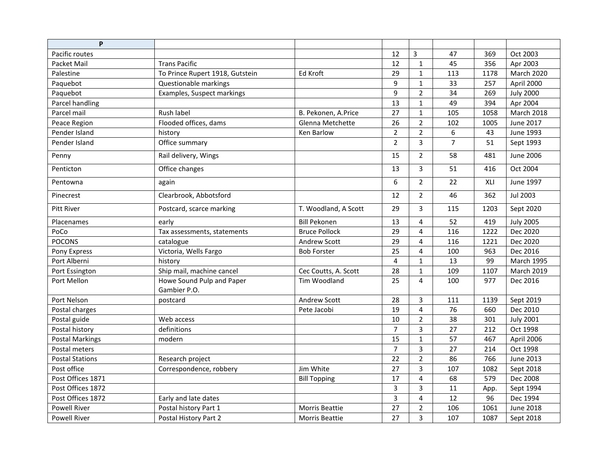| P                      |                                           |                       |                         |                         |                |      |                   |
|------------------------|-------------------------------------------|-----------------------|-------------------------|-------------------------|----------------|------|-------------------|
| Pacific routes         |                                           |                       | 12                      | 3                       | 47             | 369  | Oct 2003          |
| Packet Mail            | <b>Trans Pacific</b>                      |                       | 12                      | $\mathbf 1$             | 45             | 356  | Apr 2003          |
| Palestine              | To Prince Rupert 1918, Gutstein           | Ed Kroft              | 29                      | $\mathbf 1$             | 113            | 1178 | March 2020        |
| Paquebot               | Questionable markings                     |                       | 9                       | $\mathbf{1}$            | 33             | 257  | April 2000        |
| Paquebot               | Examples, Suspect markings                |                       | 9                       | $\overline{2}$          | 34             | 269  | <b>July 2000</b>  |
| Parcel handling        |                                           |                       | 13                      | $\mathbf{1}$            | 49             | 394  | Apr 2004          |
| Parcel mail            | Rush label                                | B. Pekonen, A.Price   | 27                      | $\mathbf{1}$            | 105            | 1058 | March 2018        |
| Peace Region           | Flooded offices, dams                     | Glenna Metchette      | 26                      | $\overline{2}$          | 102            | 1005 | <b>June 2017</b>  |
| Pender Island          | history                                   | <b>Ken Barlow</b>     | $\overline{2}$          | $\overline{2}$          | 6              | 43   | <b>June 1993</b>  |
| Pender Island          | Office summary                            |                       | $\overline{2}$          | 3                       | $\overline{7}$ | 51   | Sept 1993         |
| Penny                  | Rail delivery, Wings                      |                       | 15                      | $\overline{2}$          | 58             | 481  | <b>June 2006</b>  |
| Penticton              | Office changes                            |                       | 13                      | 3                       | 51             | 416  | Oct 2004          |
| Pentowna               | again                                     |                       | 6                       | $\overline{2}$          | 22             | XLI  | <b>June 1997</b>  |
| Pinecrest              | Clearbrook, Abbotsford                    |                       | 12                      | $\overline{2}$          | 46             | 362  | <b>Jul 2003</b>   |
| <b>Pitt River</b>      | Postcard, scarce marking                  | T. Woodland, A Scott  | 29                      | 3                       | 115            | 1203 | Sept 2020         |
| Placenames             | early                                     | <b>Bill Pekonen</b>   | 13                      | $\overline{\mathbf{4}}$ | 52             | 419  | <b>July 2005</b>  |
| PoCo                   | Tax assessments, statements               | <b>Bruce Pollock</b>  | 29                      | 4                       | 116            | 1222 | Dec 2020          |
| <b>POCONS</b>          | catalogue                                 | <b>Andrew Scott</b>   | 29                      | 4                       | 116            | 1221 | Dec 2020          |
| Pony Express           | Victoria, Wells Fargo                     | <b>Bob Forster</b>    | 25                      | 4                       | 100            | 963  | Dec 2016          |
| Port Alberni           | history                                   |                       | $\overline{4}$          | $\mathbf{1}$            | 13             | 99   | <b>March 1995</b> |
| Port Essington         | Ship mail, machine cancel                 | Cec Coutts, A. Scott  | 28                      | $\mathbf{1}$            | 109            | 1107 | <b>March 2019</b> |
| Port Mellon            | Howe Sound Pulp and Paper<br>Gambier P.O. | Tim Woodland          | 25                      | 4                       | 100            | 977  | Dec 2016          |
| Port Nelson            | postcard                                  | <b>Andrew Scott</b>   | 28                      | 3                       | 111            | 1139 | Sept 2019         |
| Postal charges         |                                           | Pete Jacobi           | 19                      | $\pmb{4}$               | 76             | 660  | Dec 2010          |
| Postal guide           | Web access                                |                       | 10                      | $\overline{2}$          | 38             | 301  | <b>July 2001</b>  |
| Postal history         | definitions                               |                       | $\overline{7}$          | 3                       | 27             | 212  | Oct 1998          |
| <b>Postal Markings</b> | modern                                    |                       | 15                      | $\mathbf{1}$            | 57             | 467  | April 2006        |
| Postal meters          |                                           |                       | $\overline{7}$          | 3                       | 27             | 214  | Oct 1998          |
| <b>Postal Stations</b> | Research project                          |                       | 22                      | $\overline{2}$          | 86             | 766  | <b>June 2013</b>  |
| Post office            | Correspondence, robbery                   | Jim White             | 27                      | 3                       | 107            | 1082 | Sept 2018         |
| Post Offices 1871      |                                           | <b>Bill Topping</b>   | 17                      | 4                       | 68             | 579  | Dec 2008          |
| Post Offices 1872      |                                           |                       | 3                       | 3                       | 11             | App. | Sept 1994         |
| Post Offices 1872      | Early and late dates                      |                       | $\overline{\mathbf{3}}$ | $\overline{4}$          | 12             | 96   | Dec 1994          |
| <b>Powell River</b>    | Postal history Part 1                     | Morris Beattie        | 27                      | $\overline{2}$          | 106            | 1061 | <b>June 2018</b>  |
| <b>Powell River</b>    | Postal History Part 2                     | <b>Morris Beattie</b> | 27                      | 3                       | 107            | 1087 | Sept 2018         |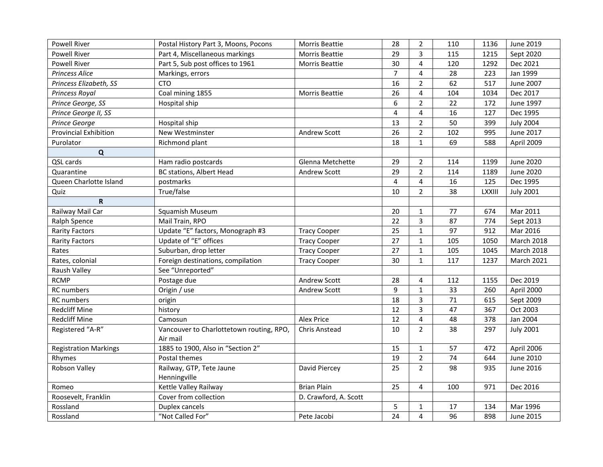| <b>Powell River</b>          | Postal History Part 3, Moons, Pocons                 | Morris Beattie        | 28             | $\overline{2}$          | 110             | 1136          | June 2019         |
|------------------------------|------------------------------------------------------|-----------------------|----------------|-------------------------|-----------------|---------------|-------------------|
| <b>Powell River</b>          | Part 4, Miscellaneous markings                       | Morris Beattie        | 29             | 3                       | 115             | 1215          | Sept 2020         |
| Powell River                 | Part 5, Sub post offices to 1961                     | Morris Beattie        | 30             | $\pmb{4}$               | 120             | 1292          | Dec 2021          |
| Princess Alice               | Markings, errors                                     |                       | $\overline{7}$ | $\overline{4}$          | 28              | 223           | Jan 1999          |
| Princess Elizabeth, SS       | <b>CTO</b>                                           |                       | 16             | $\overline{2}$          | 62              | 517           | June 2007         |
| Princess Royal               | Coal mining 1855                                     | Morris Beattie        | 26             | $\overline{4}$          | 104             | 1034          | Dec 2017          |
| Prince George, SS            | Hospital ship                                        |                       | 6              | $\overline{2}$          | 22              | 172           | <b>June 1997</b>  |
| Prince George II, SS         |                                                      |                       | 4              | 4                       | 16              | 127           | Dec 1995          |
| Prince George                | Hospital ship                                        |                       | 13             | $\overline{2}$          | 50              | 399           | <b>July 2004</b>  |
| <b>Provincial Exhibition</b> | New Westminster                                      | Andrew Scott          | 26             | $\overline{2}$          | 102             | 995           | <b>June 2017</b>  |
| Purolator                    | Richmond plant                                       |                       | 18             | $\mathbf{1}$            | 69              | 588           | April 2009        |
| $\mathbf Q$                  |                                                      |                       |                |                         |                 |               |                   |
| QSL cards                    | Ham radio postcards                                  | Glenna Metchette      | 29             | $\overline{2}$          | 114             | 1199          | <b>June 2020</b>  |
| Quarantine                   | <b>BC stations, Albert Head</b>                      | Andrew Scott          | 29             | $\overline{2}$          | 114             | 1189          | <b>June 2020</b>  |
| Queen Charlotte Island       | postmarks                                            |                       | 4              | $\overline{4}$          | 16              | 125           | Dec 1995          |
| Quiz                         | True/false                                           |                       | 10             | $\overline{2}$          | 38              | <b>LXXIII</b> | <b>July 2001</b>  |
| $\mathbf R$                  |                                                      |                       |                |                         |                 |               |                   |
| Railway Mail Car             | Squamish Museum                                      |                       | 20             | $\mathbf 1$             | 77              | 674           | Mar 2011          |
| Ralph Spence                 | Mail Train, RPO                                      |                       | 22             | $\overline{3}$          | 87              | 774           | Sept 2013         |
| <b>Rarity Factors</b>        | Update "E" factors, Monograph #3                     | <b>Tracy Cooper</b>   | 25             | $\mathbf 1$             | 97              | 912           | Mar 2016          |
| <b>Rarity Factors</b>        | Update of "E" offices                                | <b>Tracy Cooper</b>   | 27             | $\mathbf{1}$            | 105             | 1050          | March 2018        |
| Rates                        | Suburban, drop letter                                | <b>Tracy Cooper</b>   | 27             | $\mathbf{1}$            | 105             | 1045          | <b>March 2018</b> |
| Rates, colonial              | Foreign destinations, compilation                    | <b>Tracy Cooper</b>   | 30             | $\mathbf{1}$            | 117             | 1237          | March 2021        |
| Raush Valley                 | See "Unreported"                                     |                       |                |                         |                 |               |                   |
| <b>RCMP</b>                  | Postage due                                          | Andrew Scott          | 28             | 4                       | 112             | 1155          | Dec 2019          |
| <b>RC</b> numbers            | Origin / use                                         | Andrew Scott          | 9              | $\mathbf{1}$            | 33              | 260           | April 2000        |
| <b>RC</b> numbers            | origin                                               |                       | 18             | $\overline{3}$          | 71              | 615           | Sept 2009         |
| <b>Redcliff Mine</b>         | history                                              |                       | 12             | $\overline{3}$          | $\overline{47}$ | 367           | Oct 2003          |
| <b>Redcliff Mine</b>         | Camosun                                              | <b>Alex Price</b>     | 12             | $\overline{\mathbf{4}}$ | 48              | 378           | Jan 2004          |
| Registered "A-R"             | Vancouver to Charlottetown routing, RPO,<br>Air mail | <b>Chris Anstead</b>  | 10             | $\overline{2}$          | 38              | 297           | <b>July 2001</b>  |
| <b>Registration Markings</b> | 1885 to 1900, Also in "Section 2"                    |                       | 15             | $\mathbf 1$             | 57              | 472           | April 2006        |
| Rhymes                       | Postal themes                                        |                       | 19             | $\overline{2}$          | 74              | 644           | June 2010         |
| Robson Valley                | Railway, GTP, Tete Jaune<br>Henningville             | David Piercey         | 25             | $\overline{2}$          | 98              | 935           | <b>June 2016</b>  |
| Romeo                        | Kettle Valley Railway                                | <b>Brian Plain</b>    | 25             | $\overline{4}$          | 100             | 971           | Dec 2016          |
| Roosevelt, Franklin          | Cover from collection                                | D. Crawford, A. Scott |                |                         |                 |               |                   |
| Rossland                     | Duplex cancels                                       |                       | 5              | $\mathbf{1}$            | 17              | 134           | Mar 1996          |
| Rossland                     | "Not Called For"                                     | Pete Jacobi           | 24             | $\pmb{4}$               | 96              | 898           | June 2015         |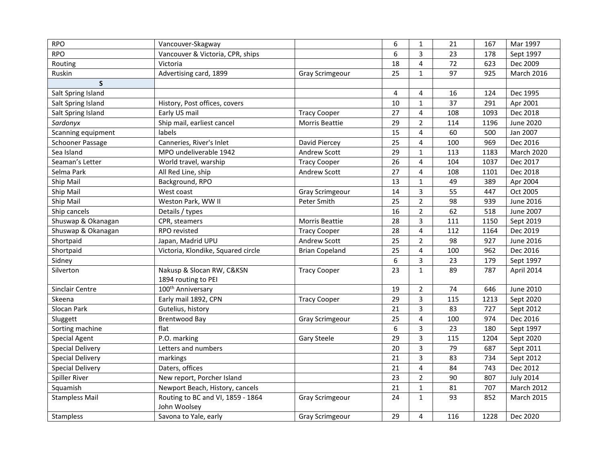| <b>RPO</b>              | Vancouver-Skagway                                 |                        | 6                     | $\mathbf{1}$   | 21  | 167  | Mar 1997          |
|-------------------------|---------------------------------------------------|------------------------|-----------------------|----------------|-----|------|-------------------|
| <b>RPO</b>              | Vancouver & Victoria, CPR, ships                  |                        | 6                     | 3              | 23  | 178  | Sept 1997         |
| Routing                 | Victoria                                          |                        | 18                    | 4              | 72  | 623  | Dec 2009          |
| Ruskin                  | Advertising card, 1899                            | <b>Gray Scrimgeour</b> | 25                    | $\mathbf{1}$   | 97  | 925  | <b>March 2016</b> |
| $\mathsf{s}$            |                                                   |                        |                       |                |     |      |                   |
| Salt Spring Island      |                                                   |                        | $\overline{4}$        | 4              | 16  | 124  | Dec 1995          |
| Salt Spring Island      | History, Post offices, covers                     |                        | 10                    | $\mathbf{1}$   | 37  | 291  | Apr 2001          |
| Salt Spring Island      | Early US mail                                     | <b>Tracy Cooper</b>    | 27                    | 4              | 108 | 1093 | Dec 2018          |
| Sardonyx                | Ship mail, earliest cancel                        | <b>Morris Beattie</b>  | 29                    | $\overline{2}$ | 114 | 1196 | <b>June 2020</b>  |
| Scanning equipment      | labels                                            |                        | 15                    | 4              | 60  | 500  | Jan 2007          |
| Schooner Passage        | Canneries, River's Inlet                          | David Piercey          | 25                    | 4              | 100 | 969  | Dec 2016          |
| Sea Island              | MPO undeliverable 1942                            | Andrew Scott           | 29                    | $\mathbf{1}$   | 113 | 1183 | <b>March 2020</b> |
| Seaman's Letter         | World travel, warship                             | <b>Tracy Cooper</b>    | 26                    | 4              | 104 | 1037 | Dec 2017          |
| Selma Park              | All Red Line, ship                                | Andrew Scott           | 27                    | $\overline{4}$ | 108 | 1101 | Dec 2018          |
| Ship Mail               | Background, RPO                                   |                        | 13                    | $\mathbf{1}$   | 49  | 389  | Apr 2004          |
| Ship Mail               | West coast                                        | <b>Gray Scrimgeour</b> | 14                    | 3              | 55  | 447  | Oct 2005          |
| Ship Mail               | Weston Park, WW II                                | Peter Smith            | 25                    | $\overline{2}$ | 98  | 939  | <b>June 2016</b>  |
| Ship cancels            | Details / types                                   |                        | 16                    | $\overline{2}$ | 62  | 518  | June 2007         |
| Shuswap & Okanagan      | CPR, steamers                                     | Morris Beattie         | 28                    | $\overline{3}$ | 111 | 1150 | Sept 2019         |
| Shuswap & Okanagan      | RPO revisted                                      | <b>Tracy Cooper</b>    | 28                    | $\overline{4}$ | 112 | 1164 | Dec 2019          |
| Shortpaid               | Japan, Madrid UPU                                 | Andrew Scott           | 25                    | $\overline{2}$ | 98  | 927  | <b>June 2016</b>  |
| Shortpaid               | Victoria, Klondike, Squared circle                | <b>Brian Copeland</b>  | 25                    | $\overline{4}$ | 100 | 962  | Dec 2016          |
| Sidney                  |                                                   |                        | 6                     | 3              | 23  | 179  | Sept 1997         |
| Silverton               | Nakusp & Slocan RW, C&KSN                         | <b>Tracy Cooper</b>    | 23                    | $\mathbf{1}$   | 89  | 787  | April 2014        |
|                         | 1894 routing to PEI                               |                        |                       |                |     |      |                   |
| Sinclair Centre         | 100 <sup>th</sup> Anniversary                     |                        | 19                    | $\overline{2}$ | 74  | 646  | <b>June 2010</b>  |
| Skeena                  | Early mail 1892, CPN                              | <b>Tracy Cooper</b>    | 29<br>$\overline{21}$ | $\overline{3}$ | 115 | 1213 | Sept 2020         |
| Slocan Park             | Gutelius, history                                 |                        |                       | $\overline{3}$ | 83  | 727  | Sept 2012         |
| Sluggett                | <b>Brentwood Bay</b>                              | <b>Gray Scrimgeour</b> | 25                    | $\overline{4}$ | 100 | 974  | Dec 2016          |
| Sorting machine         | flat                                              |                        | 6                     | 3              | 23  | 180  | Sept 1997         |
| <b>Special Agent</b>    | P.O. marking                                      | <b>Gary Steele</b>     | 29                    | $\overline{3}$ | 115 | 1204 | Sept 2020         |
| <b>Special Delivery</b> | Letters and numbers                               |                        | 20                    | $\overline{3}$ | 79  | 687  | Sept 2011         |
| <b>Special Delivery</b> | markings                                          |                        | 21                    | $\overline{3}$ | 83  | 734  | Sept 2012         |
| <b>Special Delivery</b> | Daters, offices                                   |                        | 21                    | 4              | 84  | 743  | Dec 2012          |
| Spiller River           | New report, Porcher Island                        |                        | 23                    | $\overline{2}$ | 90  | 807  | <b>July 2014</b>  |
| Squamish                | Newport Beach, History, cancels                   |                        | 21                    | $\mathbf{1}$   | 81  | 707  | March 2012        |
| <b>Stampless Mail</b>   | Routing to BC and VI, 1859 - 1864<br>John Woolsey | <b>Gray Scrimgeour</b> | 24                    | $\mathbf{1}$   | 93  | 852  | <b>March 2015</b> |
| <b>Stampless</b>        | Savona to Yale, early                             | <b>Gray Scrimgeour</b> | 29                    | 4              | 116 | 1228 | Dec 2020          |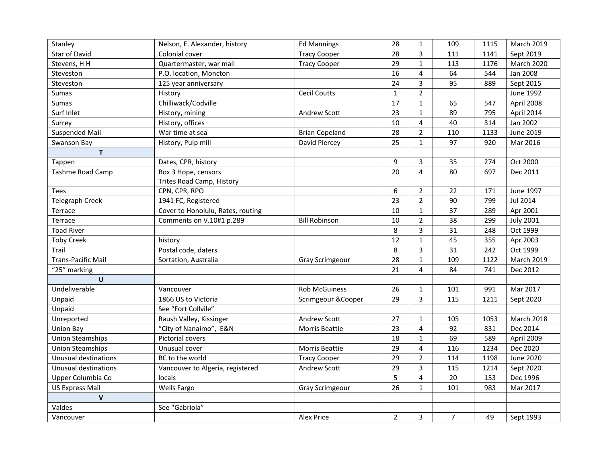| Stanley                   | Nelson, E. Alexander, history     | <b>Ed Mannings</b>     | 28             | $\mathbf{1}$   | 109            | 1115 | March 2019        |
|---------------------------|-----------------------------------|------------------------|----------------|----------------|----------------|------|-------------------|
| Star of David             | Colonial cover                    | <b>Tracy Cooper</b>    | 28             | 3              | 111            | 1141 | Sept 2019         |
| Stevens, H H              | Quartermaster, war mail           | <b>Tracy Cooper</b>    | 29             | $\mathbf{1}$   | 113            | 1176 | <b>March 2020</b> |
| Steveston                 | P.O. location, Moncton            |                        | 16             | 4              | 64             | 544  | Jan 2008          |
| Steveston                 | 125 year anniversary              |                        | 24             | $\overline{3}$ | 95             | 889  | Sept 2015         |
| <b>Sumas</b>              | History                           | <b>Cecil Coutts</b>    | $\mathbf{1}$   | $\overline{2}$ |                |      | <b>June 1992</b>  |
| <b>Sumas</b>              | Chilliwack/Codville               |                        | 17             | $\mathbf{1}$   | 65             | 547  | April 2008        |
| Surf Inlet                | History, mining                   | Andrew Scott           | 23             | $\mathbf{1}$   | 89             | 795  | April 2014        |
| Surrey                    | History, offices                  |                        | 10             | 4              | 40             | 314  | Jan 2002          |
| <b>Suspended Mail</b>     | War time at sea                   | <b>Brian Copeland</b>  | 28             | $\overline{2}$ | 110            | 1133 | June 2019         |
| Swanson Bay               | History, Pulp mill                | David Piercey          | 25             | $\mathbf{1}$   | 97             | 920  | Mar 2016          |
| $\mathbf T$               |                                   |                        |                |                |                |      |                   |
| Tappen                    | Dates, CPR, history               |                        | 9              | 3              | 35             | 274  | Oct 2000          |
| Tashme Road Camp          | Box 3 Hope, censors               |                        | 20             | 4              | 80             | 697  | Dec 2011          |
|                           | Trites Road Camp, History         |                        |                |                |                |      |                   |
| <b>Tees</b>               | CPN, CPR, RPO                     |                        | 6              | $\overline{2}$ | 22             | 171  | June 1997         |
| <b>Telegraph Creek</b>    | 1941 FC, Registered               |                        | 23             | $\overline{2}$ | 90             | 799  | Jul 2014          |
| Terrace                   | Cover to Honolulu, Rates, routing |                        | 10             | $\mathbf{1}$   | 37             | 289  | Apr 2001          |
| Terrace                   | Comments on V.10#1 p.289          | <b>Bill Robinson</b>   | 10             | $\overline{2}$ | 38             | 299  | <b>July 2001</b>  |
| <b>Toad River</b>         |                                   |                        | $\bf 8$        | 3              | 31             | 248  | Oct 1999          |
| <b>Toby Creek</b>         | history                           |                        | 12             | $\mathbf{1}$   | 45             | 355  | Apr 2003          |
| Trail                     | Postal code, daters               |                        | 8              | $\overline{3}$ | 31             | 242  | Oct 1999          |
| <b>Trans-Pacific Mail</b> | Sortation, Australia              | <b>Gray Scrimgeour</b> | 28             | $\mathbf{1}$   | 109            | 1122 | <b>March 2019</b> |
| "25" marking              |                                   |                        | 21             | 4              | 84             | 741  | Dec 2012          |
| $\mathbf{U}$              |                                   |                        |                |                |                |      |                   |
| Undeliverable             | Vancouver                         | <b>Rob McGuiness</b>   | 26             | $\mathbf{1}$   | 101            | 991  | Mar 2017          |
| Unpaid                    | 1866 US to Victoria               | Scrimgeour & Cooper    | 29             | $\overline{3}$ | 115            | 1211 | Sept 2020         |
| Unpaid                    | See "Fort Collvile"               |                        |                |                |                |      |                   |
| Unreported                | Raush Valley, Kissinger           | Andrew Scott           | 27             | $\mathbf{1}$   | 105            | 1053 | <b>March 2018</b> |
| <b>Union Bay</b>          | "City of Nanaimo", E&N            | Morris Beattie         | 23             | 4              | 92             | 831  | Dec 2014          |
| <b>Union Steamships</b>   | Pictorial covers                  |                        | 18             | $\mathbf{1}$   | 69             | 589  | April 2009        |
| <b>Union Steamships</b>   | Unusual cover                     | Morris Beattie         | 29             | 4              | 116            | 1234 | Dec 2020          |
| Unusual destinations      | BC to the world                   | <b>Tracy Cooper</b>    | 29             | $\overline{2}$ | 114            | 1198 | <b>June 2020</b>  |
| Unusual destinations      | Vancouver to Algeria, registered  | Andrew Scott           | 29             | 3              | 115            | 1214 | Sept 2020         |
| Upper Columbia Co         | locals                            |                        | 5              | 4              | 20             | 153  | Dec 1996          |
| <b>US Express Mail</b>    | Wells Fargo                       | <b>Gray Scrimgeour</b> | 26             | $\mathbf{1}$   | 101            | 983  | Mar 2017          |
| $\mathsf{V}$              |                                   |                        |                |                |                |      |                   |
| Valdes                    | See "Gabriola"                    |                        |                |                |                |      |                   |
| Vancouver                 |                                   | <b>Alex Price</b>      | $\overline{2}$ | 3              | $\overline{7}$ | 49   | Sept 1993         |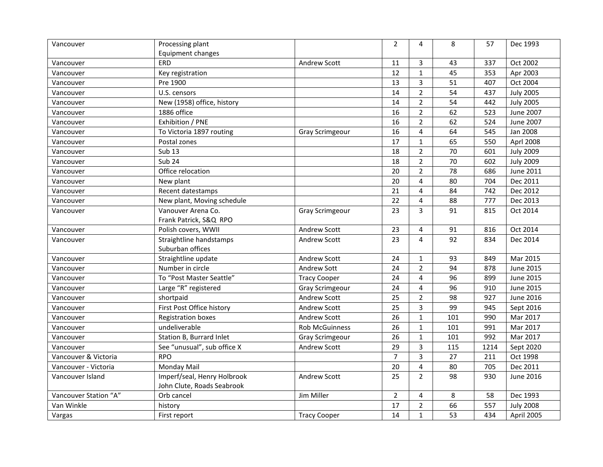| Vancouver             | Processing plant            |                        | $\overline{2}$ | 4                       | 8   | 57   | Dec 1993         |
|-----------------------|-----------------------------|------------------------|----------------|-------------------------|-----|------|------------------|
|                       | Equipment changes           |                        | 11             |                         | 43  | 337  | Oct 2002         |
| Vancouver             | ERD                         | Andrew Scott           |                | 3                       |     |      |                  |
| Vancouver             | Key registration            |                        | 12             | $1\,$                   | 45  | 353  | Apr 2003         |
| Vancouver             | Pre 1900                    |                        | 13             | 3                       | 51  | 407  | Oct 2004         |
| Vancouver             | U.S. censors                |                        | 14             | $\overline{2}$          | 54  | 437  | <b>July 2005</b> |
| Vancouver             | New (1958) office, history  |                        | 14             | $\overline{2}$          | 54  | 442  | <b>July 2005</b> |
| Vancouver             | 1886 office                 |                        | 16             | $\overline{2}$          | 62  | 523  | <b>June 2007</b> |
| Vancouver             | Exhibition / PNE            |                        | 16             | $\overline{2}$          | 62  | 524  | <b>June 2007</b> |
| Vancouver             | To Victoria 1897 routing    | <b>Gray Scrimgeour</b> | 16             | 4                       | 64  | 545  | Jan 2008         |
| Vancouver             | Postal zones                |                        | 17             | $\mathbf 1$             | 65  | 550  | Aprl 2008        |
| Vancouver             | <b>Sub 13</b>               |                        | 18             | $\overline{2}$          | 70  | 601  | <b>July 2009</b> |
| Vancouver             | Sub <sub>24</sub>           |                        | 18             | $\overline{2}$          | 70  | 602  | <b>July 2009</b> |
| Vancouver             | Office relocation           |                        | 20             | $\overline{2}$          | 78  | 686  | <b>June 2011</b> |
| Vancouver             | New plant                   |                        | 20             | $\overline{4}$          | 80  | 704  | Dec 2011         |
| Vancouver             | Recent datestamps           |                        | 21             | 4                       | 84  | 742  | Dec 2012         |
| Vancouver             | New plant, Moving schedule  |                        | 22             | 4                       | 88  | 777  | Dec 2013         |
| Vancouver             | Vanouver Arena Co.          | <b>Gray Scrimgeour</b> | 23             | 3                       | 91  | 815  | Oct 2014         |
|                       | Frank Patrick, S&Q RPO      |                        |                |                         |     |      |                  |
| Vancouver             | Polish covers, WWII         | Andrew Scott           | 23             | 4                       | 91  | 816  | Oct 2014         |
| Vancouver             | Straightline handstamps     | Andrew Scott           | 23             | 4                       | 92  | 834  | Dec 2014         |
|                       | Suburban offices            |                        |                |                         |     |      |                  |
| Vancouver             | Straightline update         | Andrew Scott           | 24             | $\mathbf{1}$            | 93  | 849  | Mar 2015         |
| Vancouver             | Number in circle            | Andrew Sott            | 24             | $\overline{2}$          | 94  | 878  | <b>June 2015</b> |
| Vancouver             | To "Post Master Seattle"    | <b>Tracy Cooper</b>    | 24             | $\overline{\mathbf{4}}$ | 96  | 899  | <b>June 2015</b> |
| Vancouver             | Large "R" registered        | <b>Gray Scrimgeour</b> | 24             | 4                       | 96  | 910  | June 2015        |
| Vancouver             | shortpaid                   | Andrew Scott           | 25             | $\overline{2}$          | 98  | 927  | <b>June 2016</b> |
| Vancouver             | First Post Office history   | Andrew Scott           | 25             | 3                       | 99  | 945  | Sept 2016        |
| Vancouver             | <b>Registration boxes</b>   | Andrew Scott           | 26             | $\mathbf{1}$            | 101 | 990  | Mar 2017         |
| Vancouver             | undeliverable               | Rob McGuinness         | 26             | $\mathbf{1}$            | 101 | 991  | Mar 2017         |
| Vancouver             | Station B, Burrard Inlet    | <b>Gray Scrimgeour</b> | 26             | $\mathbf 1$             | 101 | 992  | Mar 2017         |
| Vancouver             | See "unusual", sub office X | <b>Andrew Scott</b>    | 29             | 3                       | 115 | 1214 | Sept 2020        |
| Vancouver & Victoria  | <b>RPO</b>                  |                        | $\overline{7}$ | 3                       | 27  | 211  | Oct 1998         |
| Vancouver - Victoria  | Monday Mail                 |                        | 20             | 4                       | 80  | 705  | Dec 2011         |
| Vancouver Island      | Imperf/seal, Henry Holbrook | <b>Andrew Scott</b>    | 25             | $\overline{2}$          | 98  | 930  | <b>June 2016</b> |
|                       | John Clute, Roads Seabrook  |                        |                |                         |     |      |                  |
| Vancouver Station "A" | Orb cancel                  | Jim Miller             | $\overline{2}$ | $\overline{4}$          | 8   | 58   | Dec 1993         |
| Van Winkle            | history                     |                        | 17             | $\overline{2}$          | 66  | 557  | <b>July 2008</b> |
| Vargas                | First report                | <b>Tracy Cooper</b>    | 14             | $\mathbf{1}$            | 53  | 434  | April 2005       |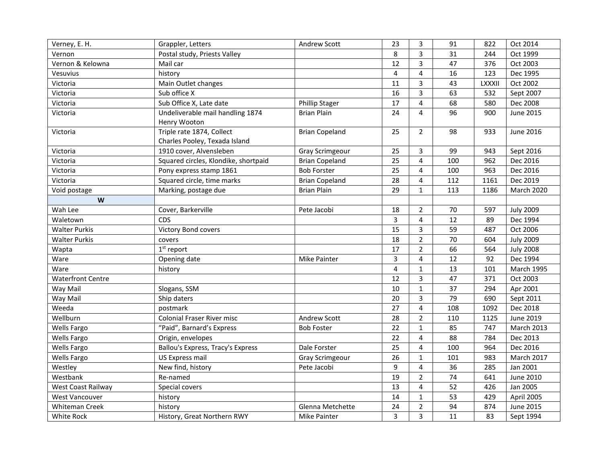| Verney, E. H.            | Grappler, Letters                        | Andrew Scott           | 23             | 3                       | 91              | 822    | Oct 2014          |
|--------------------------|------------------------------------------|------------------------|----------------|-------------------------|-----------------|--------|-------------------|
| Vernon                   | Postal study, Priests Valley             |                        | 8              | 3                       | 31              | 244    | Oct 1999          |
| Vernon & Kelowna         | Mail car                                 |                        | 12             | 3                       | 47              | 376    | Oct 2003          |
| Vesuvius                 | history                                  |                        | $\overline{4}$ | $\overline{4}$          | 16              | 123    | Dec 1995          |
| Victoria                 | Main Outlet changes                      |                        | 11             | 3                       | 43              | LXXXII | Oct 2002          |
| Victoria                 | Sub office X                             |                        | 16             | $\overline{3}$          | 63              | 532    | Sept 2007         |
| Victoria                 | Sub Office X, Late date                  | <b>Phillip Stager</b>  | 17             | 4                       | 68              | 580    | Dec 2008          |
| Victoria                 | Undeliverable mail handling 1874         | <b>Brian Plain</b>     | 24             | 4                       | 96              | 900    | <b>June 2015</b>  |
|                          | Henry Wooton                             |                        |                |                         |                 |        |                   |
| Victoria                 | Triple rate 1874, Collect                | <b>Brian Copeland</b>  | 25             | $\overline{2}$          | 98              | 933    | June 2016         |
|                          | Charles Pooley, Texada Island            |                        |                |                         |                 |        |                   |
| Victoria                 | 1910 cover, Alvensleben                  | Gray Scrimgeour        | 25             | 3                       | 99              | 943    | Sept 2016         |
| Victoria                 | Squared circles, Klondike, shortpaid     | <b>Brian Copeland</b>  | 25             | 4                       | 100             | 962    | Dec 2016          |
| Victoria                 | Pony express stamp 1861                  | <b>Bob Forster</b>     | 25             | 4                       | 100             | 963    | Dec 2016          |
| Victoria                 | Squared circle, time marks               | <b>Brian Copeland</b>  | 28             | 4                       | 112             | 1161   | Dec 2019          |
| Void postage             | Marking, postage due                     | <b>Brian Plain</b>     | 29             | $\mathbf{1}$            | 113             | 1186   | <b>March 2020</b> |
| W                        |                                          |                        |                |                         |                 |        |                   |
| Wah Lee                  | Cover, Barkerville                       | Pete Jacobi            | 18             | $\overline{2}$          | 70              | 597    | <b>July 2009</b>  |
| Waletown                 | CDS                                      |                        | 3              | 4                       | 12              | 89     | Dec 1994          |
| <b>Walter Purkis</b>     | Victory Bond covers                      |                        | 15             | $\overline{3}$          | 59              | 487    | Oct 2006          |
| <b>Walter Purkis</b>     | covers                                   |                        | 18             | $\overline{2}$          | 70              | 604    | <b>July 2009</b>  |
| Wapta                    | $1st$ report                             |                        | 17             | $\overline{2}$          | 66              | 564    | <b>July 2008</b>  |
| Ware                     | Opening date                             | Mike Painter           | 3              | 4                       | 12              | 92     | Dec 1994          |
| Ware                     | history                                  |                        | $\overline{4}$ | $\mathbf{1}$            | 13              | 101    | <b>March 1995</b> |
| <b>Waterfront Centre</b> |                                          |                        | 12             | 3                       | 47              | 371    | Oct 2003          |
| Way Mail                 | Slogans, SSM                             |                        | 10             | $\mathbf{1}$            | 37              | 294    | Apr 2001          |
| Way Mail                 | Ship daters                              |                        | 20             | 3                       | 79              | 690    | Sept 2011         |
| Weeda                    | postmark                                 |                        | 27             | $\overline{\mathbf{4}}$ | 108             | 1092   | Dec 2018          |
| Wellburn                 | <b>Colonial Fraser River misc</b>        | Andrew Scott           | 28             | $\overline{2}$          | 110             | 1125   | <b>June 2019</b>  |
| Wells Fargo              | "Paid", Barnard's Express                | <b>Bob Foster</b>      | 22             | $\mathbf{1}$            | 85              | 747    | March 2013        |
| Wells Fargo              | Origin, envelopes                        |                        | 22             | 4                       | 88              | 784    | Dec 2013          |
| Wells Fargo              | <b>Ballou's Express, Tracy's Express</b> | Dale Forster           | 25             | 4                       | 100             | 964    | Dec 2016          |
| Wells Fargo              | <b>US Express mail</b>                   | <b>Gray Scrimgeour</b> | 26             | $\mathbf{1}$            | 101             | 983    | March 2017        |
| Westley                  | New find, history                        | Pete Jacobi            | 9              | 4                       | 36              | 285    | Jan 2001          |
| Westbank                 | Re-named                                 |                        | 19             | $\overline{2}$          | 74              | 641    | June 2010         |
| West Coast Railway       | Special covers                           |                        | 13             | 4                       | 52              | 426    | Jan 2005          |
| West Vancouver           | history                                  |                        | 14             | $\mathbf{1}$            | 53              | 429    | April 2005        |
| <b>Whiteman Creek</b>    | history                                  | Glenna Metchette       | 24             | $\overline{2}$          | 94              | 874    | <b>June 2015</b>  |
| White Rock               | History, Great Northern RWY              | <b>Mike Painter</b>    | $\overline{3}$ | 3                       | $\overline{11}$ | 83     | Sept 1994         |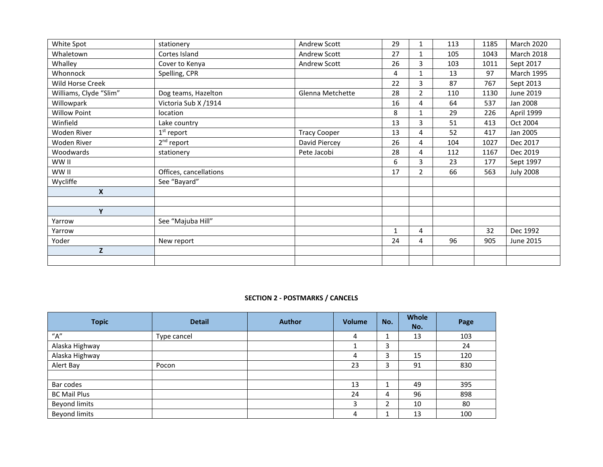| White Spot             | stationery             | Andrew Scott        | 29           | $\mathbf{1}$   | 113 | 1185 | <b>March 2020</b> |
|------------------------|------------------------|---------------------|--------------|----------------|-----|------|-------------------|
| Whaletown              | Cortes Island          | Andrew Scott        | 27           | 1              | 105 | 1043 | March 2018        |
| Whalley                | Cover to Kenya         | Andrew Scott        | 26           | 3              | 103 | 1011 | Sept 2017         |
| Whonnock               | Spelling, CPR          |                     | 4            | $\mathbf{1}$   | 13  | 97   | <b>March 1995</b> |
| Wild Horse Creek       |                        |                     | 22           | 3              | 87  | 767  | Sept 2013         |
| Williams, Clyde "Slim" | Dog teams, Hazelton    | Glenna Metchette    | 28           | $\overline{2}$ | 110 | 1130 | June 2019         |
| Willowpark             | Victoria Sub X /1914   |                     | 16           | 4              | 64  | 537  | Jan 2008          |
| <b>Willow Point</b>    | location               |                     | 8            | $\mathbf{1}$   | 29  | 226  | April 1999        |
| Winfield               | Lake country           |                     | 13           | 3              | 51  | 413  | Oct 2004          |
| Woden River            | $1st$ report           | <b>Tracy Cooper</b> | 13           | 4              | 52  | 417  | Jan 2005          |
| <b>Woden River</b>     | 2 <sup>nd</sup> report | David Piercey       | 26           | 4              | 104 | 1027 | Dec 2017          |
| Woodwards              | stationery             | Pete Jacobi         | 28           | 4              | 112 | 1167 | Dec 2019          |
| WW II                  |                        |                     | 6            | 3              | 23  | 177  | Sept 1997         |
| WW II                  | Offices, cancellations |                     | 17           | $\overline{2}$ | 66  | 563  | <b>July 2008</b>  |
| Wycliffe               | See "Bayard"           |                     |              |                |     |      |                   |
| $\mathsf{x}$           |                        |                     |              |                |     |      |                   |
|                        |                        |                     |              |                |     |      |                   |
| Y                      |                        |                     |              |                |     |      |                   |
| Yarrow                 | See "Majuba Hill"      |                     |              |                |     |      |                   |
| Yarrow                 |                        |                     | $\mathbf{1}$ | 4              |     | 32   | Dec 1992          |
| Yoder                  | New report             |                     | 24           | 4              | 96  | 905  | June 2015         |
| Z                      |                        |                     |              |                |     |      |                   |
|                        |                        |                     |              |                |     |      |                   |

### **SECTION 2 - POSTMARKS / CANCELS**

| <b>Topic</b>                          | <b>Detail</b> | <b>Author</b> | <b>Volume</b> | No. | <b>Whole</b><br>No. | Page |
|---------------------------------------|---------------|---------------|---------------|-----|---------------------|------|
| $^{\prime\prime}$ A $^{\prime\prime}$ | Type cancel   |               | 4             |     | 13                  | 103  |
| Alaska Highway                        |               |               |               | 3   |                     | 24   |
| Alaska Highway                        |               |               | 4             | 3   | 15                  | 120  |
| Alert Bay                             | Pocon         |               | 23            |     | 91                  | 830  |
|                                       |               |               |               |     |                     |      |
| Bar codes                             |               |               | 13            |     | 49                  | 395  |
| <b>BC Mail Plus</b>                   |               |               | 24            | 4   | 96                  | 898  |
| <b>Beyond limits</b>                  |               |               | 3             | ำ   | 10                  | 80   |
| <b>Beyond limits</b>                  |               |               | 4             |     | 13                  | 100  |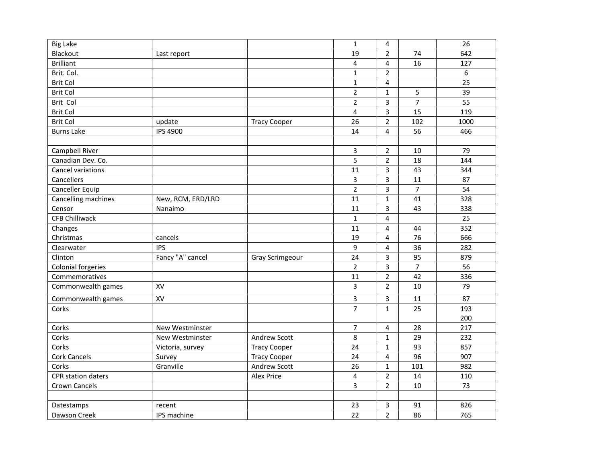| <b>Big Lake</b>           |                   |                        | $\mathbf{1}$            | 4                       |                | 26   |
|---------------------------|-------------------|------------------------|-------------------------|-------------------------|----------------|------|
| Blackout                  | Last report       |                        | 19                      | $\overline{2}$          | 74             | 642  |
| <b>Brilliant</b>          |                   |                        | 4                       | 4                       | 16             | 127  |
| Brit. Col.                |                   |                        | $\mathbf{1}$            | $\overline{2}$          |                | 6    |
| <b>Brit Col</b>           |                   |                        | $\mathbf{1}$            | 4                       |                | 25   |
| <b>Brit Col</b>           |                   |                        | $\overline{2}$          | $\mathbf{1}$            | 5              | 39   |
| Brit Col                  |                   |                        | $\overline{2}$          | 3                       | $\overline{7}$ | 55   |
| <b>Brit Col</b>           |                   |                        | $\overline{\mathbf{4}}$ | 3                       | 15             | 119  |
| <b>Brit Col</b>           | update            | <b>Tracy Cooper</b>    | 26                      | $\overline{2}$          | 102            | 1000 |
| <b>Burns Lake</b>         | <b>IPS 4900</b>   |                        | 14                      | $\overline{\mathbf{A}}$ | 56             | 466  |
|                           |                   |                        |                         |                         |                |      |
| Campbell River            |                   |                        | 3                       | $\overline{2}$          | 10             | 79   |
| Canadian Dev. Co.         |                   |                        | 5                       | $\overline{2}$          | 18             | 144  |
| Cancel variations         |                   |                        | 11                      | 3                       | 43             | 344  |
| Cancellers                |                   |                        | $\overline{3}$          | 3                       | 11             | 87   |
| Canceller Equip           |                   |                        | $\overline{2}$          | 3                       | $\overline{7}$ | 54   |
| Cancelling machines       | New, RCM, ERD/LRD |                        | 11                      | $\mathbf{1}$            | 41             | 328  |
| Censor                    | Nanaimo           |                        | 11                      | 3                       | 43             | 338  |
| <b>CFB Chilliwack</b>     |                   |                        | $\mathbf{1}$            | 4                       |                | 25   |
| Changes                   |                   |                        | 11                      | 4                       | 44             | 352  |
| Christmas                 | cancels           |                        | 19                      | $\overline{4}$          | 76             | 666  |
| Clearwater                | <b>IPS</b>        |                        | 9                       | $\overline{4}$          | 36             | 282  |
| Clinton                   | Fancy "A" cancel  | <b>Gray Scrimgeour</b> | 24                      | 3                       | 95             | 879  |
| <b>Colonial forgeries</b> |                   |                        | $\overline{2}$          | 3                       | $\overline{7}$ | 56   |
| Commemoratives            |                   |                        | 11                      | $\overline{2}$          | 42             | 336  |
| Commonwealth games        | XV                |                        | 3                       | $\overline{2}$          | 10             | 79   |
| Commonwealth games        | XV                |                        | 3                       | 3                       | 11             | 87   |
| Corks                     |                   |                        | $\overline{7}$          | $\mathbf{1}$            | 25             | 193  |
|                           |                   |                        |                         |                         |                | 200  |
| Corks                     | New Westminster   |                        | $\overline{7}$          | 4                       | 28             | 217  |
| Corks                     | New Westminster   | Andrew Scott           | 8                       | $\mathbf{1}$            | 29             | 232  |
| Corks                     | Victoria, survey  | <b>Tracy Cooper</b>    | 24                      | $\mathbf{1}$            | 93             | 857  |
| <b>Cork Cancels</b>       | Survey            | <b>Tracy Cooper</b>    | 24                      | 4                       | 96             | 907  |
| Corks                     | Granville         | Andrew Scott           | 26                      | $\mathbf{1}$            | 101            | 982  |
| <b>CPR</b> station daters |                   | <b>Alex Price</b>      | 4                       | $\overline{2}$          | 14             | 110  |
| Crown Cancels             |                   |                        | $\overline{3}$          | $\overline{2}$          | 10             | 73   |
|                           |                   |                        |                         |                         |                |      |
| Datestamps                | recent            |                        | 23                      | 3                       | 91             | 826  |
| Dawson Creek              | IPS machine       |                        | 22                      | $\overline{2}$          | 86             | 765  |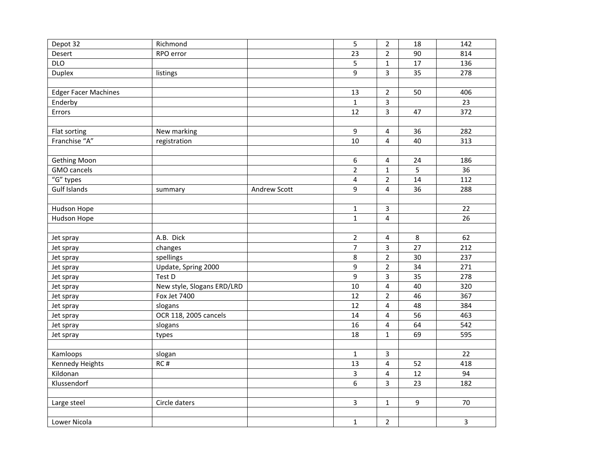| Depot 32                    | Richmond                   |              | 5                       | $\overline{2}$          | 18               | 142              |
|-----------------------------|----------------------------|--------------|-------------------------|-------------------------|------------------|------------------|
| Desert                      | RPO error                  |              | 23                      | $\overline{2}$          | 90               | 814              |
| DLO                         |                            |              | 5                       | $\mathbf{1}$            | $\overline{17}$  | 136              |
| <b>Duplex</b>               | listings                   |              | 9                       | 3                       | 35               | 278              |
|                             |                            |              |                         |                         |                  |                  |
| <b>Edger Facer Machines</b> |                            |              | 13                      | $\overline{2}$          | 50               | 406              |
| Enderby                     |                            |              | $\mathbf{1}$            | 3                       |                  | 23               |
| Errors                      |                            |              | 12                      | $\overline{3}$          | 47               | 372              |
|                             |                            |              |                         |                         |                  |                  |
| Flat sorting                | New marking                |              | 9                       | 4                       | 36               | 282              |
| Franchise "A"               | registration               |              | 10                      | $\overline{4}$          | 40               | 313              |
|                             |                            |              |                         |                         |                  |                  |
| <b>Gething Moon</b>         |                            |              | 6                       | 4                       | 24               | 186              |
| <b>GMO</b> cancels          |                            |              | $\overline{2}$          | $\mathbf{1}$            | 5                | 36               |
| "G" types                   |                            |              | $\overline{\mathbf{4}}$ | $\overline{2}$          | 14               | 112              |
| <b>Gulf Islands</b>         | summary                    | Andrew Scott | 9                       | 4                       | 36               | 288              |
|                             |                            |              |                         |                         |                  |                  |
| Hudson Hope                 |                            |              | $\mathbf{1}$            | 3                       |                  | 22               |
| Hudson Hope                 |                            |              | $\mathbf{1}$            | 4                       |                  | 26               |
|                             |                            |              |                         |                         |                  |                  |
| Jet spray                   | A.B. Dick                  |              | $\overline{2}$          | 4                       | 8                | 62               |
| Jet spray                   | changes                    |              | $\overline{7}$          | 3                       | 27               | 212              |
| Jet spray                   | spellings                  |              | 8                       | $\overline{2}$          | 30               | 237              |
| Jet spray                   | Update, Spring 2000        |              | 9                       | $\overline{2}$          | $\overline{34}$  | $\overline{271}$ |
| Jet spray                   | Test D                     |              | 9                       | 3                       | 35               | 278              |
| Jet spray                   | New style, Slogans ERD/LRD |              | 10                      | $\overline{\mathbf{4}}$ | 40               | 320              |
| Jet spray                   | Fox Jet 7400               |              | 12                      | $\overline{2}$          | 46               | 367              |
| Jet spray                   | slogans                    |              | 12                      | 4                       | 48               | 384              |
| Jet spray                   | OCR 118, 2005 cancels      |              | 14                      | 4                       | 56               | 463              |
| Jet spray                   | slogans                    |              | 16                      | 4                       | 64               | 542              |
| Jet spray                   | types                      |              | 18                      | $\mathbf{1}$            | 69               | 595              |
|                             |                            |              |                         |                         |                  |                  |
| Kamloops                    | slogan                     |              | $\mathbf{1}$            | 3                       |                  | 22               |
| Kennedy Heights             | RC#                        |              | 13                      | 4                       | 52               | 418              |
| Kildonan                    |                            |              | $\overline{3}$          | 4                       | 12               | 94               |
| Klussendorf                 |                            |              | 6                       | 3                       | 23               | 182              |
|                             |                            |              |                         |                         |                  |                  |
| Large steel                 | Circle daters              |              | 3                       | $\mathbf{1}$            | $\boldsymbol{9}$ | 70               |
|                             |                            |              |                         |                         |                  |                  |
| Lower Nicola                |                            |              | $\mathbf{1}$            | $\overline{2}$          |                  | $\overline{3}$   |
|                             |                            |              |                         |                         |                  |                  |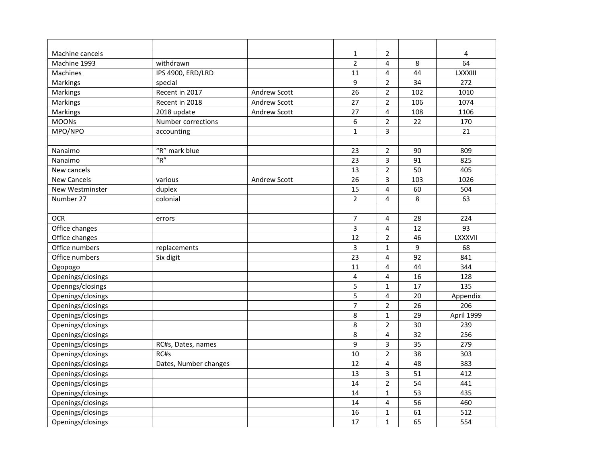| Machine cancels    |                       |              | $\mathbf 1$     | $\overline{2}$          |                 | 4          |
|--------------------|-----------------------|--------------|-----------------|-------------------------|-----------------|------------|
| Machine 1993       | withdrawn             |              | $\overline{2}$  | $\overline{\mathbf{4}}$ | 8               | 64         |
| Machines           | IPS 4900, ERD/LRD     |              | 11              | 4                       | 44              | LXXXIII    |
| Markings           | special               |              | 9               | $\overline{2}$          | 34              | 272        |
| Markings           | Recent in 2017        | Andrew Scott | 26              | $\overline{2}$          | 102             | 1010       |
| Markings           | Recent in 2018        | Andrew Scott | 27              | $\overline{2}$          | 106             | 1074       |
| Markings           | 2018 update           | Andrew Scott | 27              | $\overline{4}$          | 108             | 1106       |
| <b>MOONs</b>       | Number corrections    |              | 6               | $\overline{2}$          | 22              | 170        |
| MPO/NPO            | accounting            |              | $\mathbf{1}$    | $\overline{3}$          |                 | 21         |
|                    |                       |              |                 |                         |                 |            |
| Nanaimo            | "R" mark blue         |              | 23              | 2                       | 90              | 809        |
| Nanaimo            | $n_{\rm R}$           |              | 23              | 3                       | 91              | 825        |
| New cancels        |                       |              | 13              | $\overline{2}$          | 50              | 405        |
| <b>New Cancels</b> | various               | Andrew Scott | 26              | 3                       | 103             | 1026       |
| New Westminster    | duplex                |              | 15              | 4                       | 60              | 504        |
| Number 27          | colonial              |              | $\overline{2}$  | $\overline{\mathbf{4}}$ | 8               | 63         |
|                    |                       |              |                 |                         |                 |            |
| <b>OCR</b>         | errors                |              | $\overline{7}$  | 4                       | 28              | 224        |
| Office changes     |                       |              | 3               | 4                       | 12              | 93         |
| Office changes     |                       |              | 12              | $\overline{2}$          | 46              | LXXXVII    |
| Office numbers     | replacements          |              | $\overline{3}$  | $\mathbf{1}$            | 9               | 68         |
| Office numbers     | Six digit             |              | $\overline{23}$ | $\overline{4}$          | 92              | 841        |
| Ogopogo            |                       |              | 11              | 4                       | 44              | 344        |
| Openings/closings  |                       |              | $\overline{4}$  | 4                       | 16              | 128        |
| Openngs/closings   |                       |              | 5               | $\mathbf{1}$            | 17              | 135        |
| Openings/closings  |                       |              | 5               | 4                       | 20              | Appendix   |
| Openings/closings  |                       |              | $\overline{7}$  | $\overline{2}$          | 26              | 206        |
| Openings/closings  |                       |              | 8               | $\mathbf{1}$            | 29              | April 1999 |
| Openings/closings  |                       |              | 8               | $\overline{2}$          | $\overline{30}$ | 239        |
| Openings/closings  |                       |              | 8               | 4                       | 32              | 256        |
| Openings/closings  | RC#s, Dates, names    |              | 9               | 3                       | 35              | 279        |
| Openings/closings  | RC#s                  |              | 10              | $\overline{2}$          | 38              | 303        |
| Openings/closings  | Dates, Number changes |              | 12              | 4                       | 48              | 383        |
| Openings/closings  |                       |              | 13              | 3                       | 51              | 412        |
| Openings/closings  |                       |              | 14              | $\overline{2}$          | 54              | 441        |
| Openings/closings  |                       |              | 14              | $\mathbf{1}$            | 53              | 435        |
| Openings/closings  |                       |              | 14              | $\overline{4}$          | 56              | 460        |
| Openings/closings  |                       |              | 16              | $\mathbf{1}$            | 61              | 512        |
| Openings/closings  |                       |              | 17              | $\mathbf{1}$            | 65              | 554        |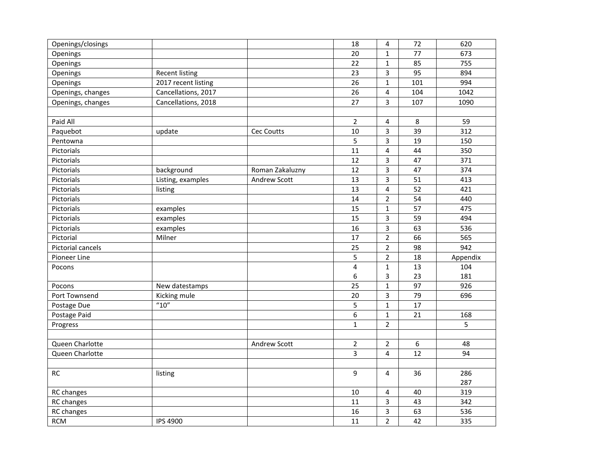| Openings/closings<br>18<br>4<br>20<br>$\mathbf{1}$<br>Openings<br>22<br>Openings<br>$\mathbf{1}$<br>3<br>Openings<br><b>Recent listing</b><br>23<br>2017 recent listing<br>26<br>Openings<br>$\mathbf{1}$<br>Cancellations, 2017<br>Openings, changes<br>26<br>4<br>Cancellations, 2018<br>27<br>3<br>Openings, changes<br>Paid All<br>$\overline{2}$<br>4<br>Paquebot<br>10<br>3<br>update<br>Cec Coutts<br>5<br>3<br>Pentowna<br>Pictorials<br>11<br>4<br>12<br>Pictorials<br>3<br>Pictorials<br>12<br>3<br>background<br>Roman Zakaluzny<br>Pictorials<br>Listing, examples<br>13<br>3<br>Andrew Scott<br>13<br>Pictorials<br>4<br>listing<br>Pictorials<br>14<br>$\overline{2}$<br>15<br>Pictorials<br>examples<br>$\mathbf{1}$<br>15<br>3<br>Pictorials<br>examples<br>3<br>Pictorials<br>examples<br>16<br>Pictorial<br>Milner<br>17<br>$\overline{2}$<br>Pictorial cancels<br>25<br>$\overline{2}$<br>5<br>$\overline{2}$<br>Pioneer Line<br>$\overline{4}$<br>$\mathbf{1}$<br>Pocons<br>6<br>3 |           |                |    |              |     |            |
|--------------------------------------------------------------------------------------------------------------------------------------------------------------------------------------------------------------------------------------------------------------------------------------------------------------------------------------------------------------------------------------------------------------------------------------------------------------------------------------------------------------------------------------------------------------------------------------------------------------------------------------------------------------------------------------------------------------------------------------------------------------------------------------------------------------------------------------------------------------------------------------------------------------------------------------------------------------------------------------------------------|-----------|----------------|----|--------------|-----|------------|
|                                                                                                                                                                                                                                                                                                                                                                                                                                                                                                                                                                                                                                                                                                                                                                                                                                                                                                                                                                                                        |           |                |    |              | 72  | 620        |
|                                                                                                                                                                                                                                                                                                                                                                                                                                                                                                                                                                                                                                                                                                                                                                                                                                                                                                                                                                                                        |           |                |    |              | 77  | 673        |
|                                                                                                                                                                                                                                                                                                                                                                                                                                                                                                                                                                                                                                                                                                                                                                                                                                                                                                                                                                                                        |           |                |    |              | 85  | 755        |
|                                                                                                                                                                                                                                                                                                                                                                                                                                                                                                                                                                                                                                                                                                                                                                                                                                                                                                                                                                                                        |           |                |    |              | 95  | 894        |
|                                                                                                                                                                                                                                                                                                                                                                                                                                                                                                                                                                                                                                                                                                                                                                                                                                                                                                                                                                                                        |           |                |    |              | 101 | 994        |
|                                                                                                                                                                                                                                                                                                                                                                                                                                                                                                                                                                                                                                                                                                                                                                                                                                                                                                                                                                                                        |           |                |    |              | 104 | 1042       |
|                                                                                                                                                                                                                                                                                                                                                                                                                                                                                                                                                                                                                                                                                                                                                                                                                                                                                                                                                                                                        |           |                |    |              | 107 | 1090       |
|                                                                                                                                                                                                                                                                                                                                                                                                                                                                                                                                                                                                                                                                                                                                                                                                                                                                                                                                                                                                        |           |                |    |              |     |            |
|                                                                                                                                                                                                                                                                                                                                                                                                                                                                                                                                                                                                                                                                                                                                                                                                                                                                                                                                                                                                        |           |                |    |              | 8   | 59         |
|                                                                                                                                                                                                                                                                                                                                                                                                                                                                                                                                                                                                                                                                                                                                                                                                                                                                                                                                                                                                        |           |                |    |              | 39  | 312        |
|                                                                                                                                                                                                                                                                                                                                                                                                                                                                                                                                                                                                                                                                                                                                                                                                                                                                                                                                                                                                        |           |                |    |              | 19  | 150        |
|                                                                                                                                                                                                                                                                                                                                                                                                                                                                                                                                                                                                                                                                                                                                                                                                                                                                                                                                                                                                        |           |                |    |              | 44  | 350        |
|                                                                                                                                                                                                                                                                                                                                                                                                                                                                                                                                                                                                                                                                                                                                                                                                                                                                                                                                                                                                        |           |                |    |              | 47  | 371        |
|                                                                                                                                                                                                                                                                                                                                                                                                                                                                                                                                                                                                                                                                                                                                                                                                                                                                                                                                                                                                        |           |                |    |              | 47  | 374        |
|                                                                                                                                                                                                                                                                                                                                                                                                                                                                                                                                                                                                                                                                                                                                                                                                                                                                                                                                                                                                        |           |                |    |              | 51  | 413        |
|                                                                                                                                                                                                                                                                                                                                                                                                                                                                                                                                                                                                                                                                                                                                                                                                                                                                                                                                                                                                        |           |                |    |              | 52  | 421        |
|                                                                                                                                                                                                                                                                                                                                                                                                                                                                                                                                                                                                                                                                                                                                                                                                                                                                                                                                                                                                        |           |                |    |              | 54  | 440        |
|                                                                                                                                                                                                                                                                                                                                                                                                                                                                                                                                                                                                                                                                                                                                                                                                                                                                                                                                                                                                        |           |                |    |              | 57  | 475        |
|                                                                                                                                                                                                                                                                                                                                                                                                                                                                                                                                                                                                                                                                                                                                                                                                                                                                                                                                                                                                        |           |                |    |              | 59  | 494        |
|                                                                                                                                                                                                                                                                                                                                                                                                                                                                                                                                                                                                                                                                                                                                                                                                                                                                                                                                                                                                        |           |                |    |              | 63  | 536        |
|                                                                                                                                                                                                                                                                                                                                                                                                                                                                                                                                                                                                                                                                                                                                                                                                                                                                                                                                                                                                        |           |                |    |              | 66  | 565        |
|                                                                                                                                                                                                                                                                                                                                                                                                                                                                                                                                                                                                                                                                                                                                                                                                                                                                                                                                                                                                        |           |                |    |              | 98  | 942        |
|                                                                                                                                                                                                                                                                                                                                                                                                                                                                                                                                                                                                                                                                                                                                                                                                                                                                                                                                                                                                        |           |                |    |              | 18  | Appendix   |
|                                                                                                                                                                                                                                                                                                                                                                                                                                                                                                                                                                                                                                                                                                                                                                                                                                                                                                                                                                                                        |           |                |    |              | 13  | 104        |
|                                                                                                                                                                                                                                                                                                                                                                                                                                                                                                                                                                                                                                                                                                                                                                                                                                                                                                                                                                                                        |           |                |    |              | 23  | 181        |
|                                                                                                                                                                                                                                                                                                                                                                                                                                                                                                                                                                                                                                                                                                                                                                                                                                                                                                                                                                                                        | Pocons    | New datestamps | 25 | $\mathbf{1}$ | 97  | 926        |
| 3<br>Port Townsend<br>Kicking mule<br>20                                                                                                                                                                                                                                                                                                                                                                                                                                                                                                                                                                                                                                                                                                                                                                                                                                                                                                                                                               |           |                |    |              | 79  | 696        |
| $^{\prime\prime}10^{\prime\prime}$<br>5<br>Postage Due<br>$\mathbf{1}$                                                                                                                                                                                                                                                                                                                                                                                                                                                                                                                                                                                                                                                                                                                                                                                                                                                                                                                                 |           |                |    |              | 17  |            |
| Postage Paid<br>6<br>$\mathbf{1}$                                                                                                                                                                                                                                                                                                                                                                                                                                                                                                                                                                                                                                                                                                                                                                                                                                                                                                                                                                      |           |                |    |              | 21  | 168        |
| $\mathbf 1$<br>$\overline{2}$<br>Progress                                                                                                                                                                                                                                                                                                                                                                                                                                                                                                                                                                                                                                                                                                                                                                                                                                                                                                                                                              |           |                |    |              |     | 5          |
|                                                                                                                                                                                                                                                                                                                                                                                                                                                                                                                                                                                                                                                                                                                                                                                                                                                                                                                                                                                                        |           |                |    |              |     |            |
| Queen Charlotte<br>Andrew Scott<br>$\overline{2}$<br>$\overline{2}$                                                                                                                                                                                                                                                                                                                                                                                                                                                                                                                                                                                                                                                                                                                                                                                                                                                                                                                                    |           |                |    |              | 6   | 48         |
| $\overline{3}$<br>$\overline{\mathbf{A}}$<br>Queen Charlotte                                                                                                                                                                                                                                                                                                                                                                                                                                                                                                                                                                                                                                                                                                                                                                                                                                                                                                                                           |           |                |    |              | 12  | 94         |
|                                                                                                                                                                                                                                                                                                                                                                                                                                                                                                                                                                                                                                                                                                                                                                                                                                                                                                                                                                                                        |           |                |    |              |     |            |
|                                                                                                                                                                                                                                                                                                                                                                                                                                                                                                                                                                                                                                                                                                                                                                                                                                                                                                                                                                                                        | <b>RC</b> | listing        | 9  | 4            | 36  | 286        |
|                                                                                                                                                                                                                                                                                                                                                                                                                                                                                                                                                                                                                                                                                                                                                                                                                                                                                                                                                                                                        |           |                |    |              |     | 287        |
|                                                                                                                                                                                                                                                                                                                                                                                                                                                                                                                                                                                                                                                                                                                                                                                                                                                                                                                                                                                                        |           |                | 10 | 4            | 40  | 319        |
| RC changes                                                                                                                                                                                                                                                                                                                                                                                                                                                                                                                                                                                                                                                                                                                                                                                                                                                                                                                                                                                             |           |                |    |              |     |            |
| RC changes<br>11<br>3                                                                                                                                                                                                                                                                                                                                                                                                                                                                                                                                                                                                                                                                                                                                                                                                                                                                                                                                                                                  |           |                |    |              | 43  | 342        |
| 16<br>3<br>RC changes                                                                                                                                                                                                                                                                                                                                                                                                                                                                                                                                                                                                                                                                                                                                                                                                                                                                                                                                                                                  |           |                |    |              | 63  | 536<br>335 |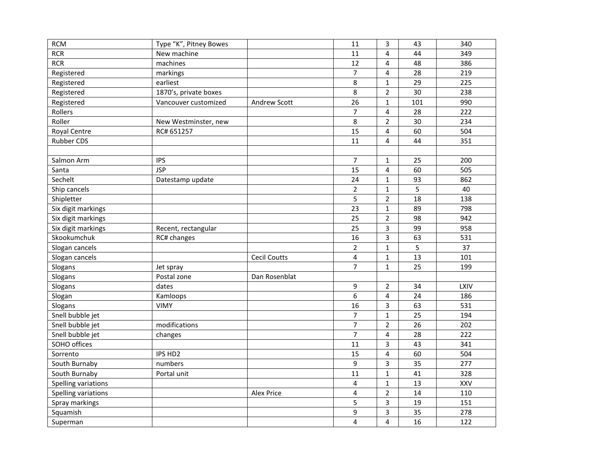| <b>RCM</b>          | Type "K", Pitney Bowes |                     | 11                      | 3                       | 43  | 340              |
|---------------------|------------------------|---------------------|-------------------------|-------------------------|-----|------------------|
| <b>RCR</b>          | New machine            |                     | 11                      | 4                       | 44  | 349              |
| <b>RCR</b>          | machines               |                     | 12                      | 4                       | 48  | 386              |
| Registered          | markings               |                     | $\overline{7}$          | 4                       | 28  | 219              |
| Registered          | earliest               |                     | 8                       | $\mathbf{1}$            | 29  | 225              |
| Registered          | 1870's, private boxes  |                     | 8                       | $\overline{2}$          | 30  | 238              |
| Registered          | Vancouver customized   | <b>Andrew Scott</b> | 26                      | $\mathbf{1}$            | 101 | 990              |
| Rollers             |                        |                     | $\overline{7}$          | 4                       | 28  | 222              |
| Roller              | New Westminster, new   |                     | 8                       | $\overline{2}$          | 30  | 234              |
| <b>Royal Centre</b> | RC# 651257             |                     | 15                      | 4                       | 60  | $50\overline{4}$ |
| <b>Rubber CDS</b>   |                        |                     | 11                      | 4                       | 44  | 351              |
|                     |                        |                     |                         |                         |     |                  |
| Salmon Arm          | <b>IPS</b>             |                     | 7                       | 1                       | 25  | 200              |
| Santa               | <b>JSP</b>             |                     | 15                      | 4                       | 60  | 505              |
| Sechelt             | Datestamp update       |                     | 24                      | $\mathbf{1}$            | 93  | 862              |
| Ship cancels        |                        |                     | $\overline{2}$          | $\mathbf{1}$            | 5   | 40               |
| Shipletter          |                        |                     | 5                       | $\overline{2}$          | 18  | 138              |
| Six digit markings  |                        |                     | 23                      | $\mathbf{1}$            | 89  | 798              |
| Six digit markings  |                        |                     | 25                      | $\overline{2}$          | 98  | 942              |
| Six digit markings  | Recent, rectangular    |                     | 25                      | 3                       | 99  | 958              |
| Skookumchuk         | RC# changes            |                     | 16                      | 3                       | 63  | 531              |
| Slogan cancels      |                        |                     | $\overline{2}$          | $\mathbf{1}$            | 5   | 37               |
| Slogan cancels      |                        | <b>Cecil Coutts</b> | $\overline{\mathbf{4}}$ | $\mathbf{1}$            | 13  | 101              |
| Slogans             | Jet spray              |                     | $\overline{7}$          | $\mathbf{1}$            | 25  | 199              |
| Slogans             | Postal zone            | Dan Rosenblat       |                         |                         |     |                  |
| Slogans             | dates                  |                     | 9                       | $\overline{2}$          | 34  | LXIV             |
| Slogan              | Kamloops               |                     | 6                       | 4                       | 24  | 186              |
| Slogans             | <b>VIMY</b>            |                     | 16                      | 3                       | 63  | 531              |
| Snell bubble jet    |                        |                     | $\overline{7}$          | $\mathbf{1}$            | 25  | 194              |
| Snell bubble jet    | modifications          |                     | $\overline{7}$          | $\overline{2}$          | 26  | 202              |
| Snell bubble jet    | changes                |                     | $\overline{7}$          | 4                       | 28  | 222              |
| SOHO offices        |                        |                     | 11                      | 3                       | 43  | 341              |
| Sorrento            | IPS HD <sub>2</sub>    |                     | 15                      | $\overline{\mathbf{4}}$ | 60  | 504              |
| South Burnaby       | numbers                |                     | 9                       | 3                       | 35  | 277              |
| South Burnaby       | Portal unit            |                     | 11                      | $\mathbf{1}$            | 41  | 328              |
| Spelling variations |                        |                     | 4                       | $\mathbf{1}$            | 13  | XXV              |
| Spelling variations |                        | <b>Alex Price</b>   | $\overline{4}$          | $\overline{2}$          | 14  | 110              |
| Spray markings      |                        |                     | 5                       | 3                       | 19  | 151              |
| Squamish            |                        |                     | 9                       | 3                       | 35  | 278              |
| Superman            |                        |                     | $\overline{4}$          | 4                       | 16  | 122              |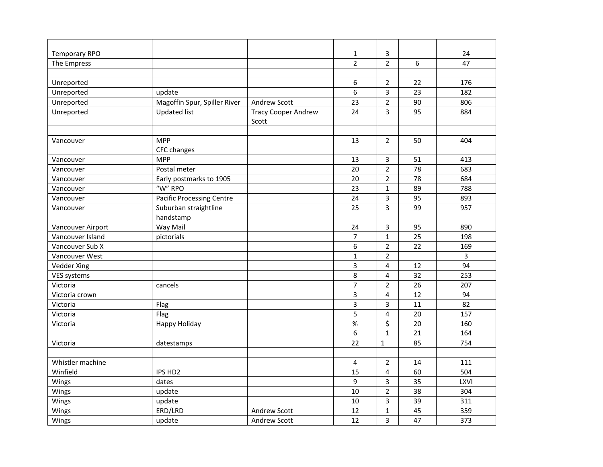| <b>Temporary RPO</b> |                                  |                                     | $\mathbf{1}$     | 3              |    | 24              |
|----------------------|----------------------------------|-------------------------------------|------------------|----------------|----|-----------------|
| The Empress          |                                  |                                     | $\overline{2}$   | $\overline{2}$ | 6  | 47              |
|                      |                                  |                                     |                  |                |    |                 |
| Unreported           |                                  |                                     | 6                | 2              | 22 | 176             |
| Unreported           | update                           |                                     | 6                | 3              | 23 | 182             |
| Unreported           | Magoffin Spur, Spiller River     | Andrew Scott                        | 23               | $\overline{2}$ | 90 | 806             |
| Unreported           | <b>Updated list</b>              | <b>Tracy Cooper Andrew</b><br>Scott | 24               | 3              | 95 | 884             |
|                      |                                  |                                     |                  |                |    |                 |
| Vancouver            | <b>MPP</b>                       |                                     | 13               | $\overline{2}$ | 50 | 404             |
|                      | CFC changes                      |                                     |                  |                |    |                 |
| Vancouver            | <b>MPP</b>                       |                                     | 13               | 3              | 51 | 413             |
| Vancouver            | Postal meter                     |                                     | 20               | $\overline{2}$ | 78 | 683             |
| Vancouver            | Early postmarks to 1905          |                                     | 20               | $\overline{2}$ | 78 | 684             |
| Vancouver            | "W" RPO                          |                                     | 23               | $\mathbf{1}$   | 89 | 788             |
| Vancouver            | <b>Pacific Processing Centre</b> |                                     | 24               | 3              | 95 | 893             |
| Vancouver            | Suburban straightline            |                                     | 25               | 3              | 99 | 957             |
|                      | handstamp                        |                                     |                  |                |    |                 |
| Vancouver Airport    | Way Mail                         |                                     | 24               | 3              | 95 | 890             |
| Vancouver Island     | pictorials                       |                                     | $\overline{7}$   | $\mathbf{1}$   | 25 | 198             |
| Vancouver Sub X      |                                  |                                     | $\boldsymbol{6}$ | $\overline{2}$ | 22 | 169             |
| Vancouver West       |                                  |                                     | $\mathbf{1}$     | $\overline{2}$ |    | 3               |
| Vedder Xing          |                                  |                                     | 3                | 4              | 12 | $\overline{94}$ |
| <b>VES systems</b>   |                                  |                                     | 8                | 4              | 32 | 253             |
| Victoria             | cancels                          |                                     | $\overline{7}$   | $\overline{2}$ | 26 | 207             |
| Victoria crown       |                                  |                                     | $\overline{3}$   | 4              | 12 | 94              |
| Victoria             | Flag                             |                                     | 3                | 3              | 11 | 82              |
| Victoria             | Flag                             |                                     | 5                | $\overline{4}$ | 20 | 157             |
| Victoria             | Happy Holiday                    |                                     | $\%$             | \$             | 20 | 160             |
|                      |                                  |                                     | 6                | $\mathbf{1}$   | 21 | 164             |
| Victoria             | datestamps                       |                                     | 22               | $\mathbf{1}$   | 85 | 754             |
|                      |                                  |                                     |                  |                |    |                 |
| Whistler machine     |                                  |                                     | 4                | $\overline{2}$ | 14 | 111             |
| Winfield             | IPS HD <sub>2</sub>              |                                     | 15               | 4              | 60 | 504             |
| Wings                | dates                            |                                     | 9                | 3              | 35 | LXVI            |
| Wings                | update                           |                                     | 10               | $\overline{2}$ | 38 | 304             |
| Wings                | update                           |                                     | 10               | 3              | 39 | 311             |
| Wings                | ERD/LRD                          | Andrew Scott                        | 12               | $\mathbf{1}$   | 45 | 359             |
| Wings                | update                           | <b>Andrew Scott</b>                 | 12               | 3              | 47 | 373             |